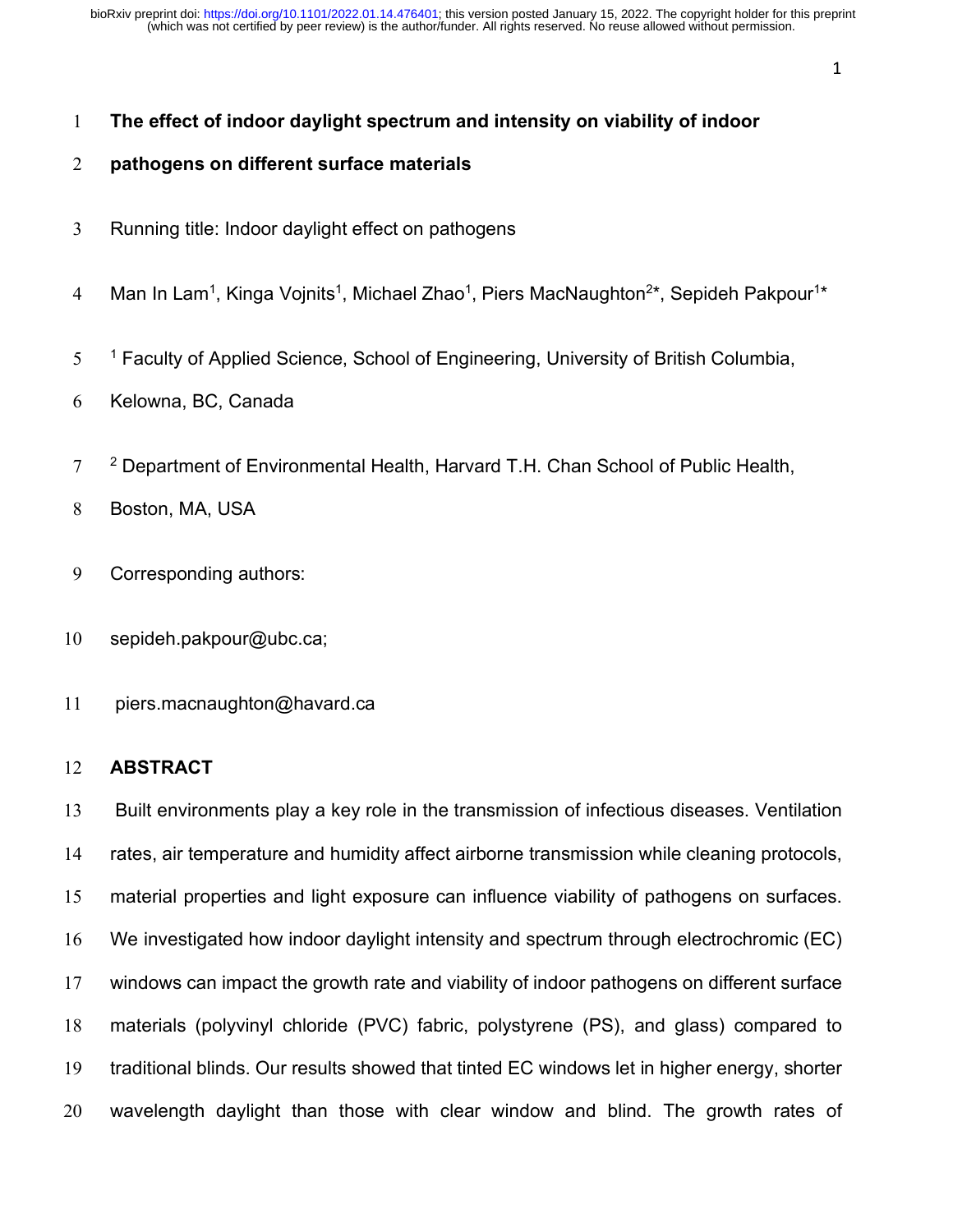# **The effect of indoor daylight spectrum and intensity on viability of indoor**

# **pathogens on different surface materials**

- Running title: Indoor daylight effect on pathogens
- 4 Man In Lam<sup>1</sup>, Kinga Vojnits<sup>1</sup>, Michael Zhao<sup>1</sup>, Piers MacNaughton<sup>2\*</sup>, Sepideh Pakpour<sup>1\*</sup>
- $15 1$  Faculty of Applied Science, School of Engineering, University of British Columbia,
- Kelowna, BC, Canada
- $7<sup>2</sup>$  Department of Environmental Health, Harvard T.H. Chan School of Public Health,
- Boston, MA, USA
- Corresponding authors:
- sepideh.pakpour@ubc.ca;
- piers.macnaughton@havard.ca

# **ABSTRACT**

 Built environments play a key role in the transmission of infectious diseases. Ventilation rates, air temperature and humidity affect airborne transmission while cleaning protocols, material properties and light exposure can influence viability of pathogens on surfaces. We investigated how indoor daylight intensity and spectrum through electrochromic (EC) windows can impact the growth rate and viability of indoor pathogens on different surface materials (polyvinyl chloride (PVC) fabric, polystyrene (PS), and glass) compared to traditional blinds. Our results showed that tinted EC windows let in higher energy, shorter wavelength daylight than those with clear window and blind. The growth rates of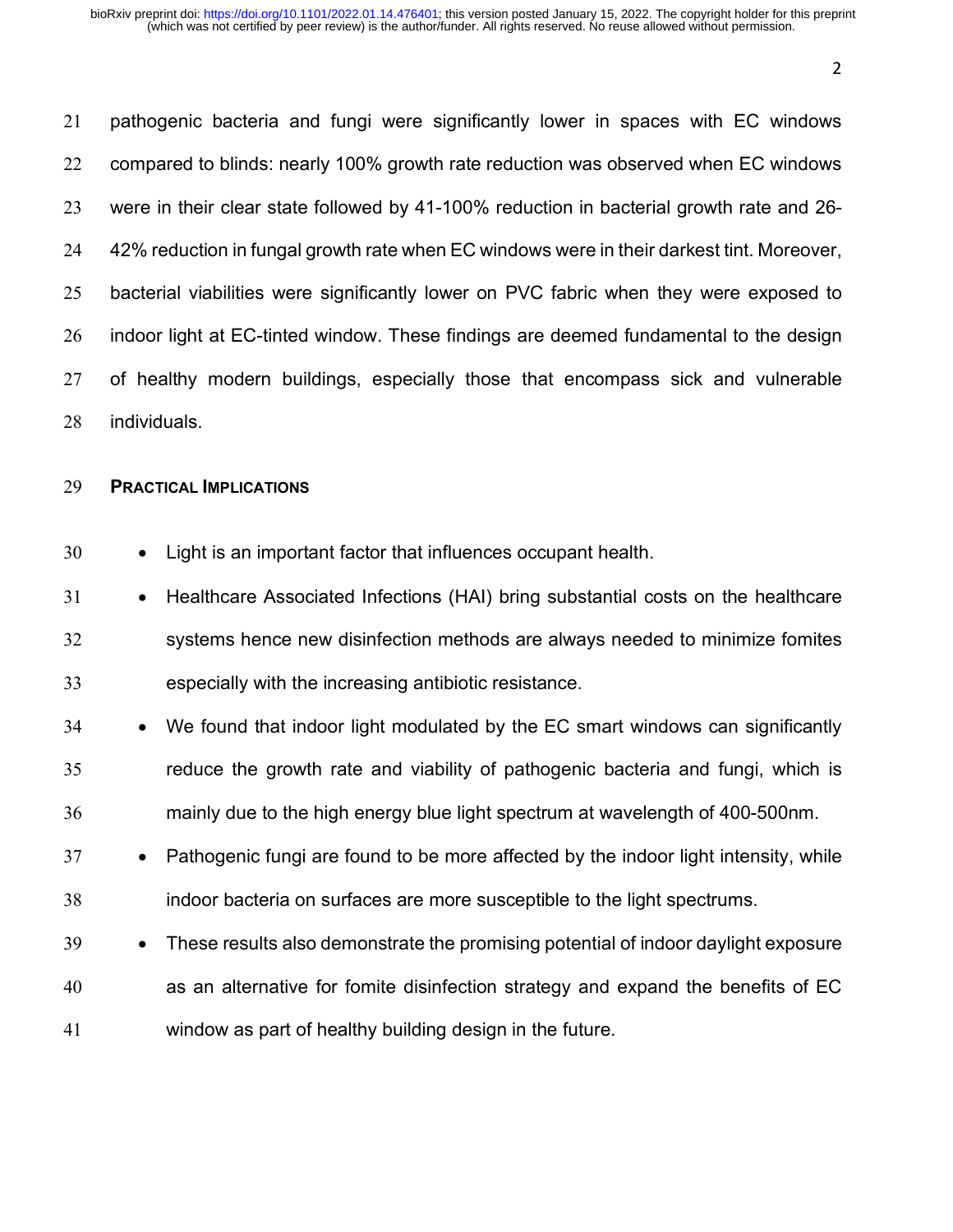pathogenic bacteria and fungi were significantly lower in spaces with EC windows compared to blinds: nearly 100% growth rate reduction was observed when EC windows were in their clear state followed by 41-100% reduction in bacterial growth rate and 26- 42% reduction in fungal growth rate when EC windows were in their darkest tint. Moreover, bacterial viabilities were significantly lower on PVC fabric when they were exposed to indoor light at EC-tinted window. These findings are deemed fundamental to the design of healthy modern buildings, especially those that encompass sick and vulnerable individuals.

#### **PRACTICAL IMPLICATIONS**

- Light is an important factor that influences occupant health.
- Healthcare Associated Infections (HAI) bring substantial costs on the healthcare systems hence new disinfection methods are always needed to minimize fomites especially with the increasing antibiotic resistance.
- We found that indoor light modulated by the EC smart windows can significantly reduce the growth rate and viability of pathogenic bacteria and fungi, which is mainly due to the high energy blue light spectrum at wavelength of 400-500nm.
- Pathogenic fungi are found to be more affected by the indoor light intensity, while indoor bacteria on surfaces are more susceptible to the light spectrums.
- These results also demonstrate the promising potential of indoor daylight exposure as an alternative for fomite disinfection strategy and expand the benefits of EC window as part of healthy building design in the future.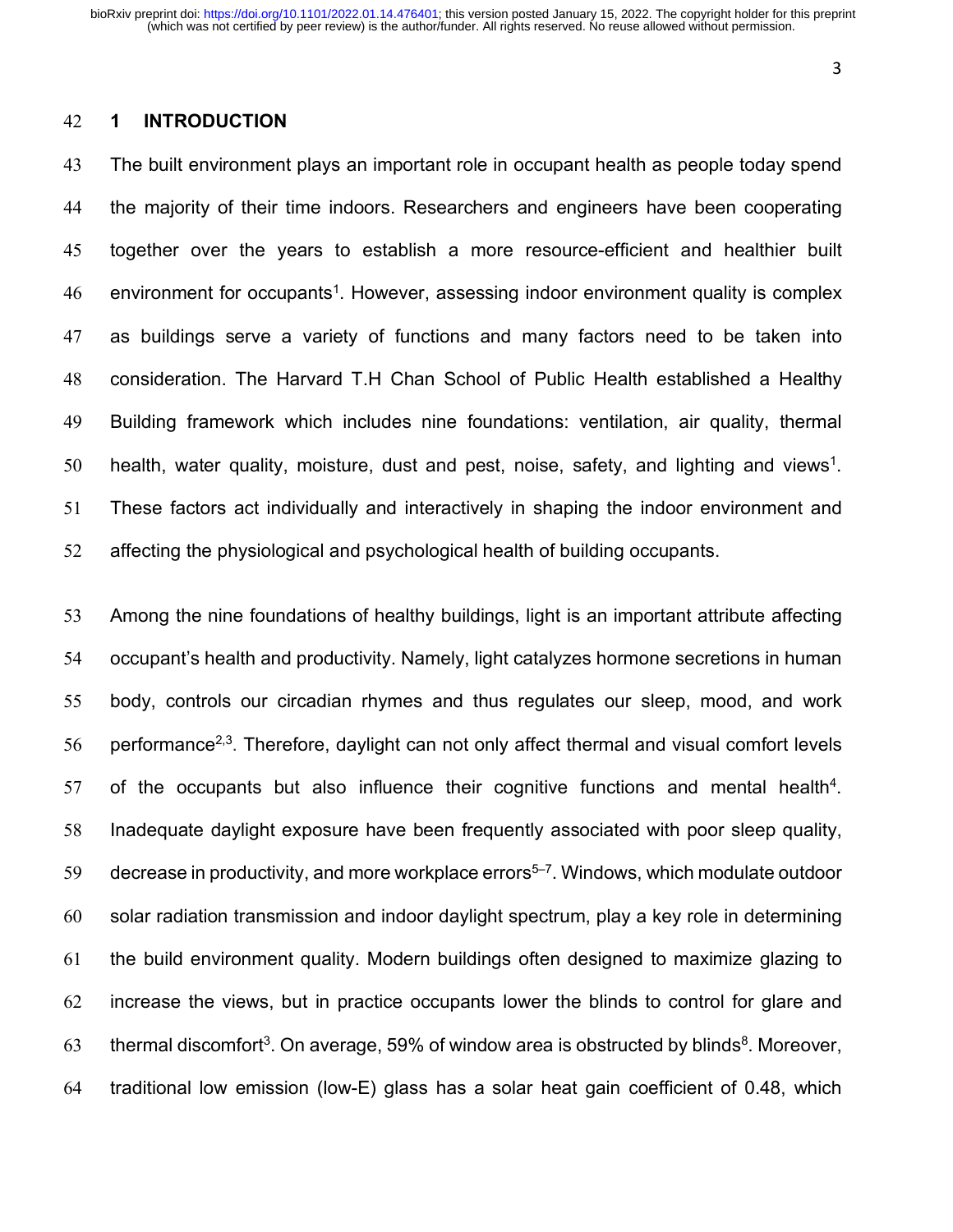#### **1 INTRODUCTION**

 The built environment plays an important role in occupant health as people today spend the majority of their time indoors. Researchers and engineers have been cooperating together over the years to establish a more resource-efficient and healthier built 46 environment for occupants<sup>1</sup>. However, assessing indoor environment quality is complex as buildings serve a variety of functions and many factors need to be taken into consideration. The Harvard T.H Chan School of Public Health established a Healthy Building framework which includes nine foundations: ventilation, air quality, thermal 50 health, water quality, moisture, dust and pest, noise, safety, and lighting and views<sup>1</sup>. These factors act individually and interactively in shaping the indoor environment and affecting the physiological and psychological health of building occupants.

 Among the nine foundations of healthy buildings, light is an important attribute affecting occupant's health and productivity. Namely, light catalyzes hormone secretions in human body, controls our circadian rhymes and thus regulates our sleep, mood, and work 56 performance<sup>2,3</sup>. Therefore, daylight can not only affect thermal and visual comfort levels of the occupants but also influence their cognitive functions and mental health<sup>4</sup>. Inadequate daylight exposure have been frequently associated with poor sleep quality, decrease in productivity, and more workplace errors<sup>5-7</sup>. Windows, which modulate outdoor solar radiation transmission and indoor daylight spectrum, play a key role in determining the build environment quality. Modern buildings often designed to maximize glazing to increase the views, but in practice occupants lower the blinds to control for glare and 63 thermal discomfort<sup>3</sup>. On average, 59% of window area is obstructed by blinds<sup>8</sup>. Moreover, traditional low emission (low-E) glass has a solar heat gain coefficient of 0.48, which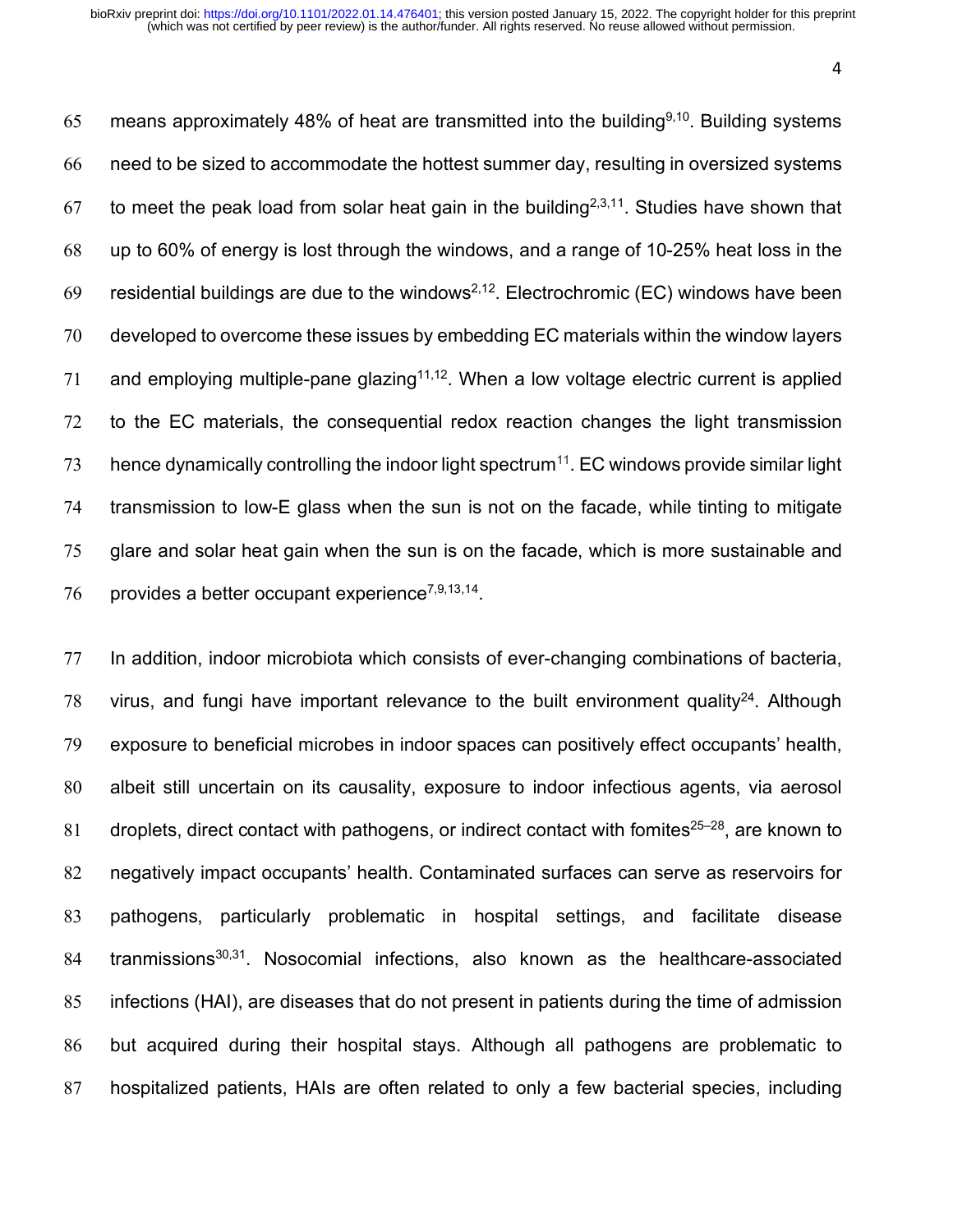65 means approximately 48% of heat are transmitted into the building<sup>9,10</sup>. Building systems need to be sized to accommodate the hottest summer day, resulting in oversized systems to meet the peak load from solar heat gain in the building<sup>2,3,11</sup>. Studies have shown that up to 60% of energy is lost through the windows, and a range of 10-25% heat loss in the 69 residential buildings are due to the windows<sup>2,12</sup>. Electrochromic (EC) windows have been developed to overcome these issues by embedding EC materials within the window layers 71 and employing multiple-pane glazing<sup>11,12</sup>. When a low voltage electric current is applied to the EC materials, the consequential redox reaction changes the light transmission hence dynamically controlling the indoor light spectrum<sup>11</sup>. EC windows provide similar light transmission to low-E glass when the sun is not on the facade, while tinting to mitigate glare and solar heat gain when the sun is on the facade, which is more sustainable and 76 provides a better occupant experience<sup> $7,9,13,14$ </sup>.

 In addition, indoor microbiota which consists of ever-changing combinations of bacteria, 78 virus, and fungi have important relevance to the built environment quality<sup>24</sup>. Although exposure to beneficial microbes in indoor spaces can positively effect occupants' health, albeit still uncertain on its causality, exposure to indoor infectious agents, via aerosol 81 droplets, direct contact with pathogens, or indirect contact with fomites<sup>25–28</sup>, are known to negatively impact occupants' health. Contaminated surfaces can serve as reservoirs for pathogens, particularly problematic in hospital settings, and facilitate disease tranmissions<sup>30,31</sup>. Nosocomial infections, also known as the healthcare-associated infections (HAI), are diseases that do not present in patients during the time of admission but acquired during their hospital stays. Although all pathogens are problematic to hospitalized patients, HAIs are often related to only a few bacterial species, including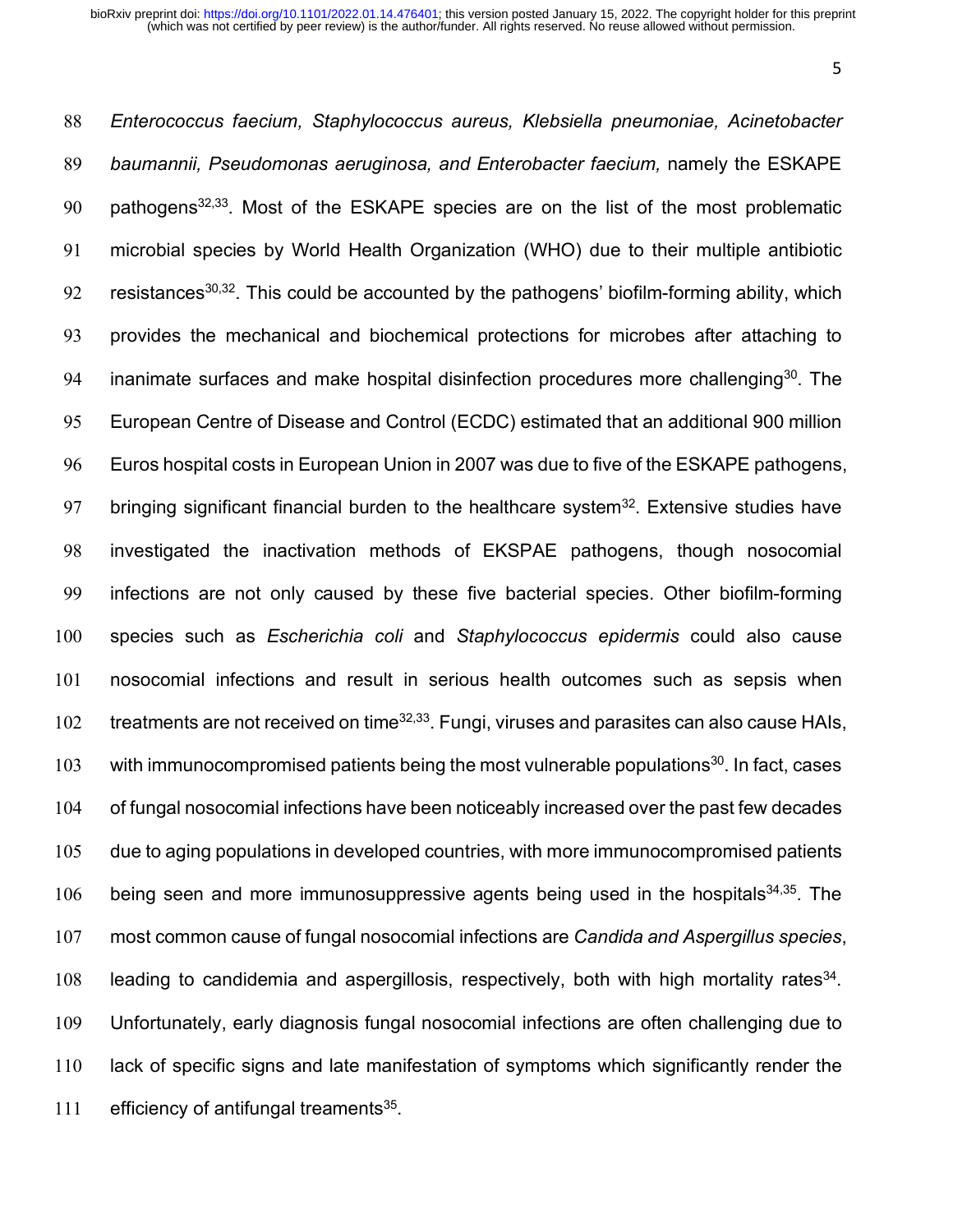*Enterococcus faecium, Staphylococcus aureus, Klebsiella pneumoniae, Acinetobacter baumannii, Pseudomonas aeruginosa, and Enterobacter faecium,* namely the ESKAPE 90 bathogens<sup>32,33</sup>. Most of the ESKAPE species are on the list of the most problematic microbial species by World Health Organization (WHO) due to their multiple antibiotic 92 resistances<sup>30,32</sup>. This could be accounted by the pathogens' biofilm-forming ability, which provides the mechanical and biochemical protections for microbes after attaching to 94 inanimate surfaces and make hospital disinfection procedures more challenging<sup>30</sup>. The European Centre of Disease and Control (ECDC) estimated that an additional 900 million Euros hospital costs in European Union in 2007 was due to five of the ESKAPE pathogens, 97 bringing significant financial burden to the healthcare system<sup>32</sup>. Extensive studies have investigated the inactivation methods of EKSPAE pathogens, though nosocomial infections are not only caused by these five bacterial species. Other biofilm-forming species such as *Escherichia coli* and *Staphylococcus epidermis* could also cause nosocomial infections and result in serious health outcomes such as sepsis when  $t$ reatments are not received on time<sup>32,33</sup>. Fungi, viruses and parasites can also cause HAIs, 103 with immunocompromised patients being the most vulnerable populations<sup>30</sup>. In fact, cases of fungal nosocomial infections have been noticeably increased over the past few decades due to aging populations in developed countries, with more immunocompromised patients 106 being seen and more immunosuppressive agents being used in the hospitals $34,35$ . The most common cause of fungal nosocomial infections are *Candida and Aspergillus species*, 108 leading to candidemia and aspergillosis, respectively, both with high mortality rates . Unfortunately, early diagnosis fungal nosocomial infections are often challenging due to lack of specific signs and late manifestation of symptoms which significantly render the 111 efficiency of antifungal treaments.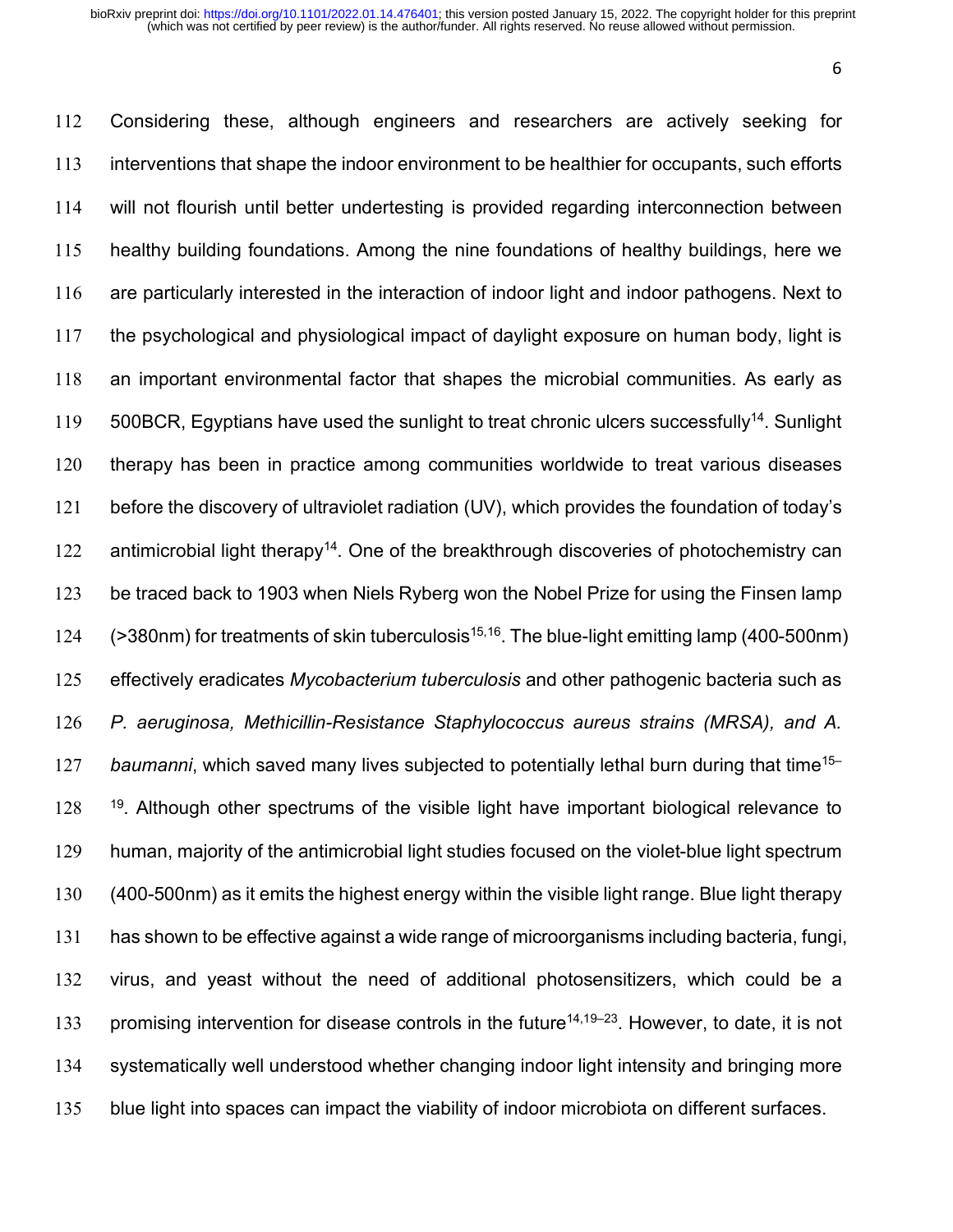Considering these, although engineers and researchers are actively seeking for interventions that shape the indoor environment to be healthier for occupants, such efforts will not flourish until better undertesting is provided regarding interconnection between healthy building foundations. Among the nine foundations of healthy buildings, here we are particularly interested in the interaction of indoor light and indoor pathogens. Next to the psychological and physiological impact of daylight exposure on human body, light is an important environmental factor that shapes the microbial communities. As early as  $119 - 500$ BCR, Egyptians have used the sunlight to treat chronic ulcers successfully<sup>14</sup>. Sunlight therapy has been in practice among communities worldwide to treat various diseases before the discovery of ultraviolet radiation (UV), which provides the foundation of today's 122 antimicrobial light therapy<sup>14</sup>. One of the breakthrough discoveries of photochemistry can be traced back to 1903 when Niels Ryberg won the Nobel Prize for using the Finsen lamp  $(>380$ nm) for treatments of skin tuberculosis<sup>15,16</sup>. The blue-light emitting lamp (400-500nm) effectively eradicates *Mycobacterium tuberculosis* and other pathogenic bacteria such as *P. aeruginosa, Methicillin-Resistance Staphylococcus aureus strains (MRSA), and A.* 127 baumanni, which saved many lives subjected to potentially lethal burn during that time<sup>15–1</sup> <sup>19</sup>. Although other spectrums of the visible light have important biological relevance to human, majority of the antimicrobial light studies focused on the violet-blue light spectrum (400-500nm) as it emits the highest energy within the visible light range. Blue light therapy has shown to be effective against a wide range of microorganisms including bacteria, fungi, virus, and yeast without the need of additional photosensitizers, which could be a 133 promising intervention for disease controls in the future<sup>14,19–23</sup>. However, to date, it is not systematically well understood whether changing indoor light intensity and bringing more blue light into spaces can impact the viability of indoor microbiota on different surfaces.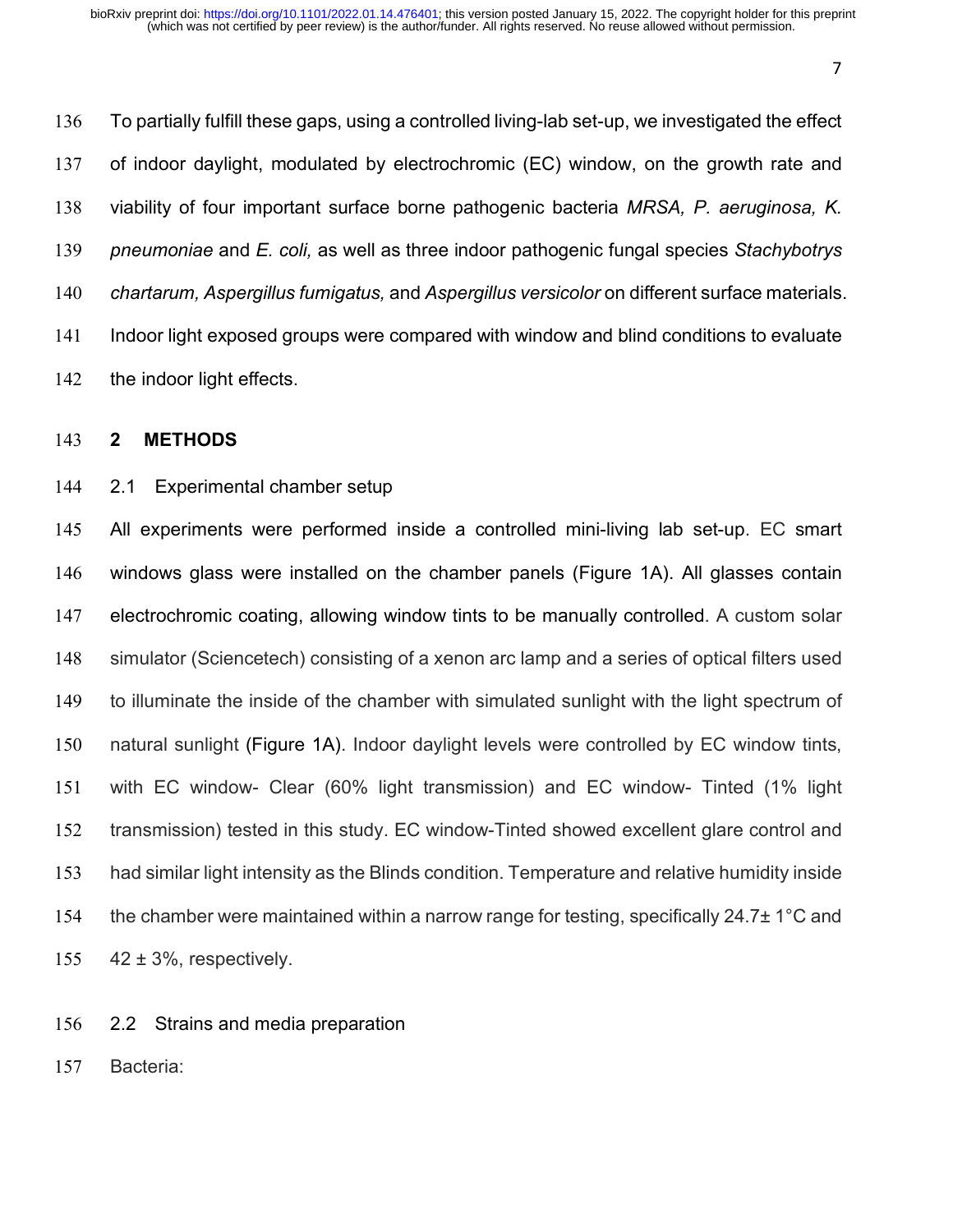To partially fulfill these gaps, using a controlled living-lab set-up, we investigated the effect of indoor daylight, modulated by electrochromic (EC) window, on the growth rate and viability of four important surface borne pathogenic bacteria *MRSA, P. aeruginosa, K. pneumoniae* and *E. coli,* as well as three indoor pathogenic fungal species *Stachybotrys chartarum, Aspergillus fumigatus,* and *Aspergillus versicolor* on different surface materials. Indoor light exposed groups were compared with window and blind conditions to evaluate 142 the indoor light effects.

#### **2 METHODS**

#### 2.1 Experimental chamber setup

 All experiments were performed inside a controlled mini-living lab set-up. EC smart windows glass were installed on the chamber panels (Figure 1A). All glasses contain electrochromic coating, allowing window tints to be manually controlled. A custom solar simulator (Sciencetech) consisting of a xenon arc lamp and a series of optical filters used to illuminate the inside of the chamber with simulated sunlight with the light spectrum of natural sunlight (Figure 1A). Indoor daylight levels were controlled by EC window tints, with EC window- Clear (60% light transmission) and EC window- Tinted (1% light transmission) tested in this study. EC window-Tinted showed excellent glare control and had similar light intensity as the Blinds condition. Temperature and relative humidity inside 154 the chamber were maintained within a narrow range for testing, specifically 24.7± 1°C and  $42 \pm 3\%$ , respectively.

- 2.2 Strains and media preparation
- Bacteria: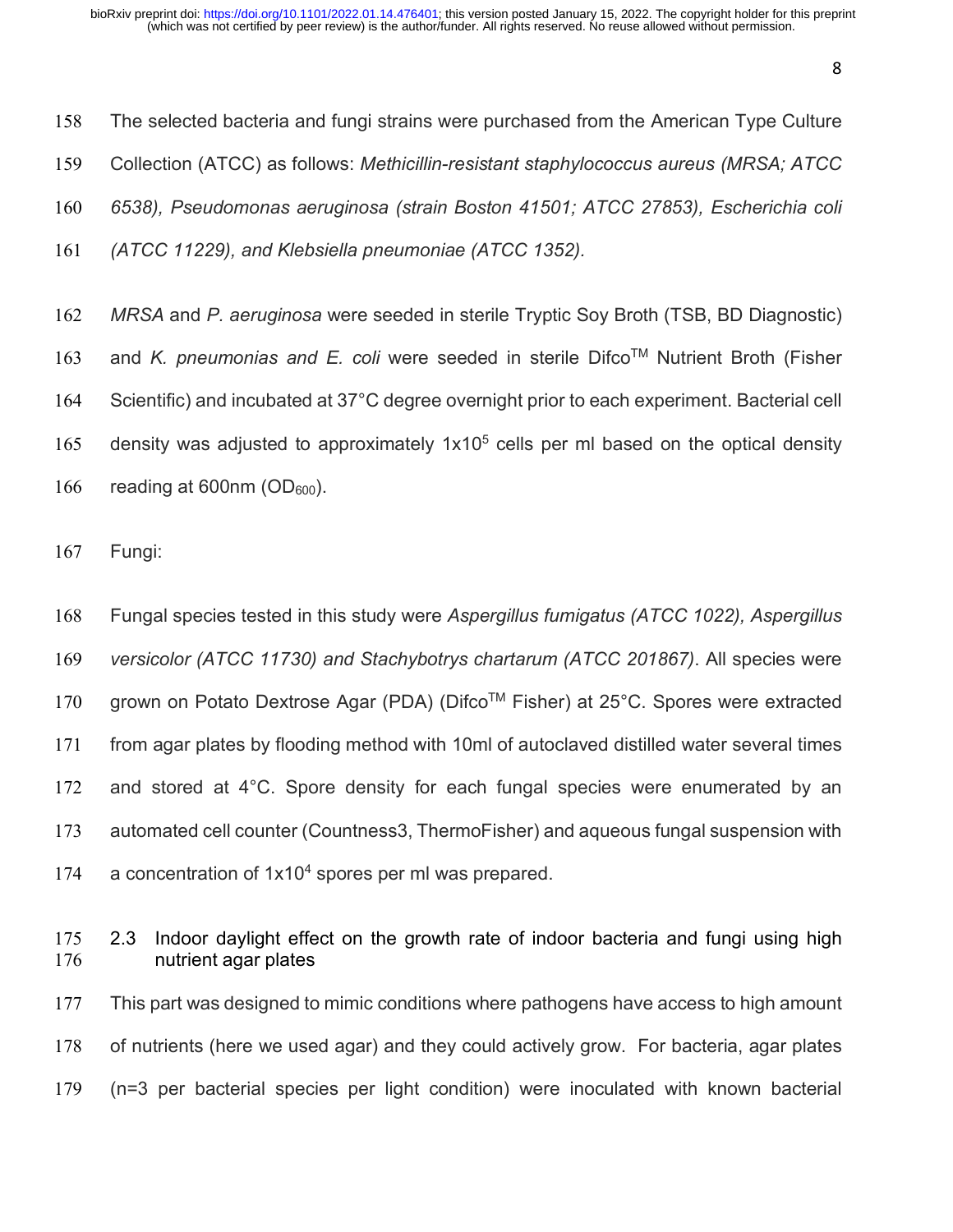The selected bacteria and fungi strains were purchased from the American Type Culture Collection (ATCC) as follows: *Methicillin-resistant staphylococcus aureus (MRSA; ATCC 6538), Pseudomonas aeruginosa (strain Boston 41501; ATCC 27853), Escherichia coli (ATCC 11229), and Klebsiella pneumoniae (ATCC 1352).*

 *MRSA* and *P. aeruginosa* were seeded in sterile Tryptic Soy Broth (TSB, BD Diagnostic) 163 and *K. pneumonias and E. coli* were seeded in sterile Difco™ Nutrient Broth (Fisher Scientific) and incubated at 37°C degree overnight prior to each experiment. Bacterial cell 165 density was adjusted to approximately  $1x10<sup>5</sup>$  cells per ml based on the optical density 166 reading at 600nm  $(OD_{600})$ .

Fungi:

 Fungal species tested in this study were *Aspergillus fumigatus (ATCC 1022), Aspergillus versicolor (ATCC 11730) and Stachybotrys chartarum (ATCC 201867)*. All species were 170 grown on Potato Dextrose Agar (PDA) (Difco™ Fisher) at 25°C. Spores were extracted from agar plates by flooding method with 10ml of autoclaved distilled water several times 172 and stored at 4°C. Spore density for each fungal species were enumerated by an automated cell counter (Countness3, ThermoFisher) and aqueous fungal suspension with 174 a concentration of  $1x10<sup>4</sup>$  spores per ml was prepared.

 2.3 Indoor daylight effect on the growth rate of indoor bacteria and fungi using high nutrient agar plates This part was designed to mimic conditions where pathogens have access to high amount of nutrients (here we used agar) and they could actively grow. For bacteria, agar plates (n=3 per bacterial species per light condition) were inoculated with known bacterial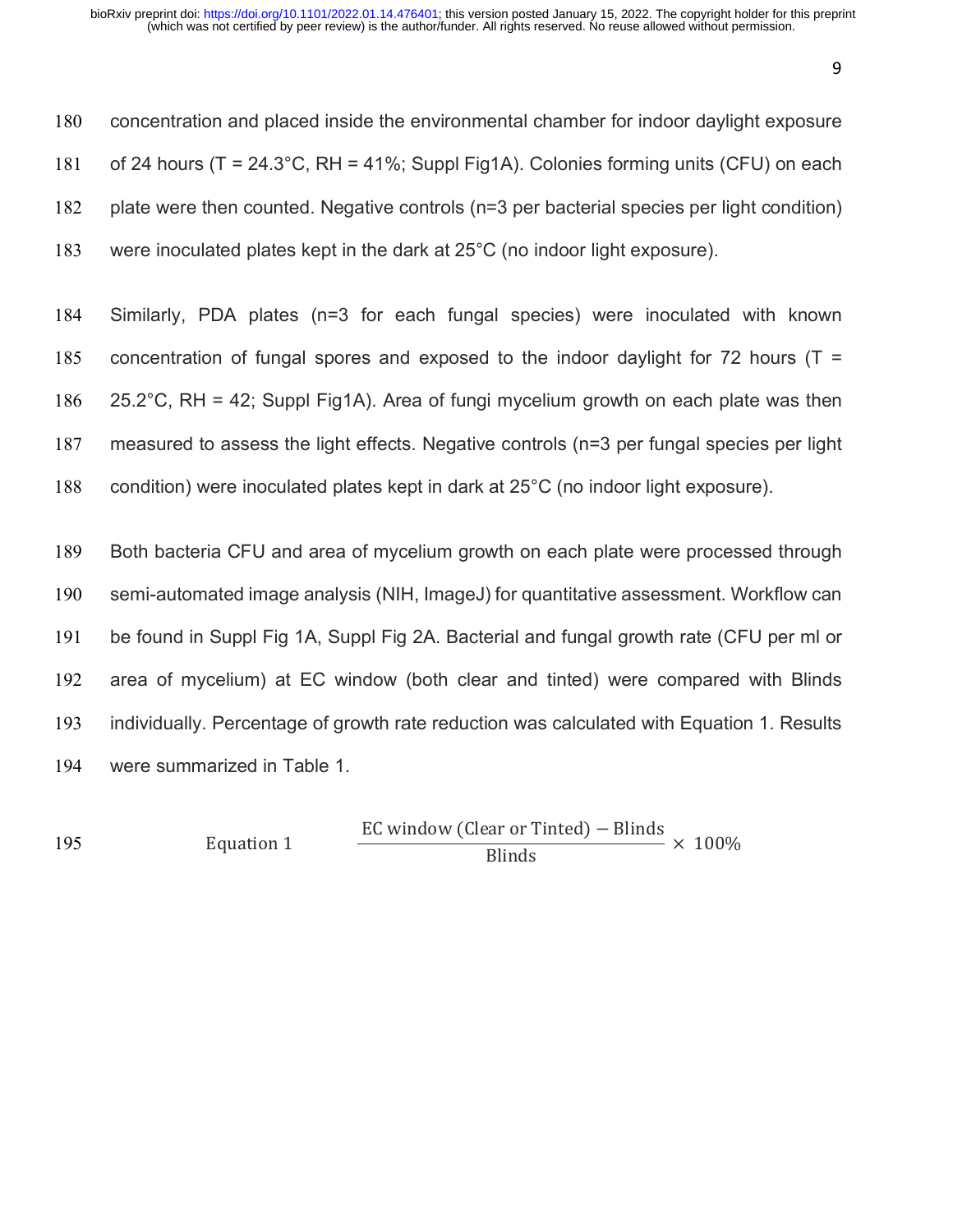| concentration and placed inside the environmental chamber for indoor daylight exposure           |
|--------------------------------------------------------------------------------------------------|
| of 24 hours ( $T = 24.3^{\circ}$ C, RH = 41%; Suppl Fig1A). Colonies forming units (CFU) on each |
| plate were then counted. Negative controls (n=3 per bacterial species per light condition)       |
| were inoculated plates kept in the dark at 25°C (no indoor light exposure).                      |
|                                                                                                  |
| Similarly, PDA plates (n=3 for each fungal species) were inoculated with known                   |
| concentration of fungal spores and exposed to the indoor daylight for 72 hours ( $T =$           |
| 25.2°C, RH = 42; Suppl Fig1A). Area of fungi mycelium growth on each plate was then              |
| measured to assess the light effects. Negative controls (n=3 per fungal species per light        |
| condition) were inoculated plates kept in dark at 25°C (no indoor light exposure).               |
|                                                                                                  |
| Both bacteria CFU and area of mycelium growth on each plate were processed through               |
| semi-automated image analysis (NIH, ImageJ) for quantitative assessment. Workflow can            |
|                                                                                                  |

 be found in Suppl Fig 1A, Suppl Fig 2A. Bacterial and fungal growth rate (CFU per ml or area of mycelium) at EC window (both clear and tinted) were compared with Blinds individually. Percentage of growth rate reduction was calculated with Equation 1. Results were summarized in Table 1.

Equation 1

EC window (Clear or Tinted) − Blinds Blinds 195 Equation 1  $\frac{25 \text{ miles}}{100 \text{ miles}} \times 100\%$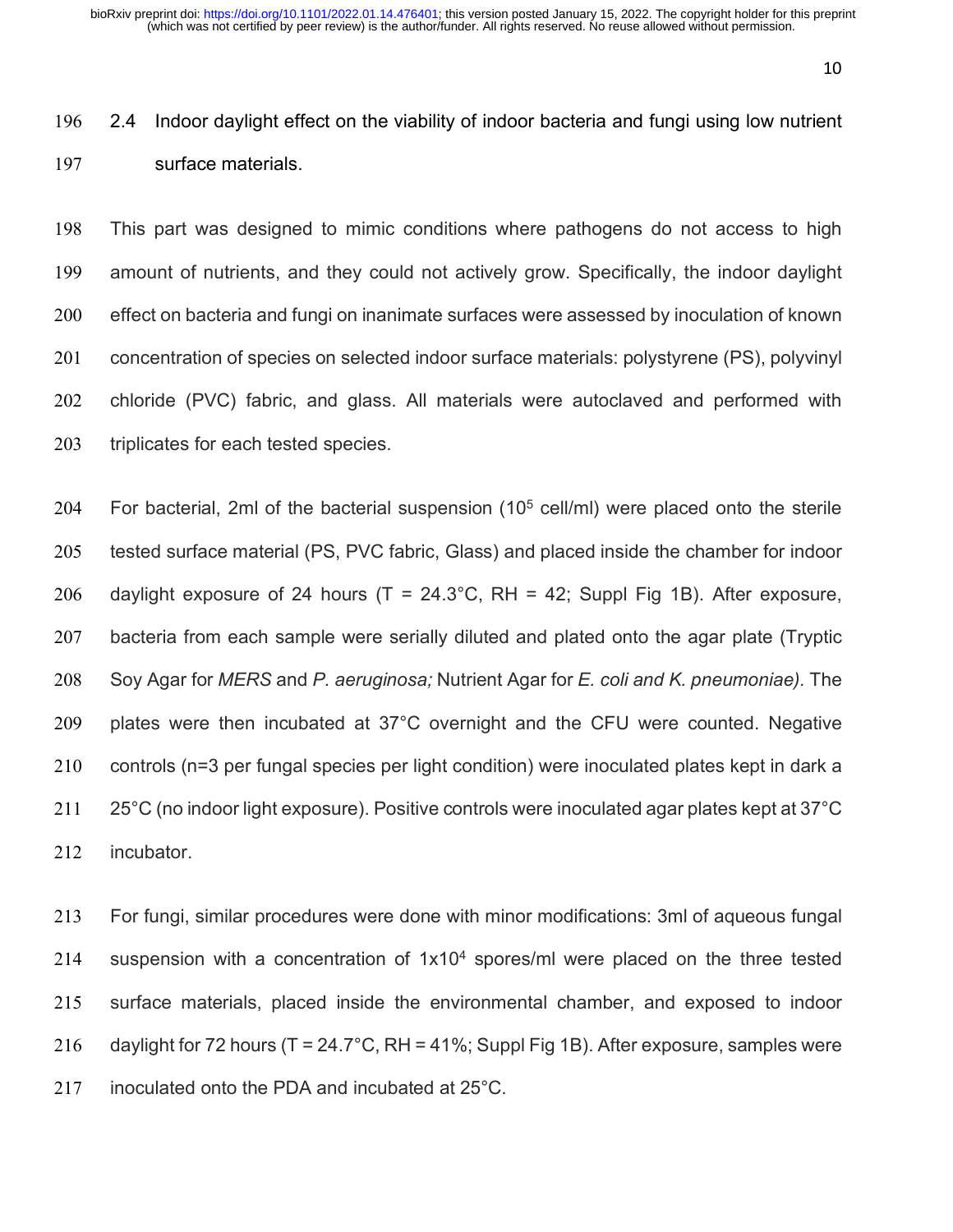2.4 Indoor daylight effect on the viability of indoor bacteria and fungi using low nutrient surface materials.

 This part was designed to mimic conditions where pathogens do not access to high amount of nutrients, and they could not actively grow. Specifically, the indoor daylight effect on bacteria and fungi on inanimate surfaces were assessed by inoculation of known concentration of species on selected indoor surface materials: polystyrene (PS), polyvinyl chloride (PVC) fabric, and glass. All materials were autoclaved and performed with 203 triplicates for each tested species.

204 For bacterial, 2ml of the bacterial suspension  $(10<sup>5</sup>$  cell/ml) were placed onto the sterile tested surface material (PS, PVC fabric, Glass) and placed inside the chamber for indoor 206 daylight exposure of 24 hours ( $T = 24.3$ °C, RH = 42; Suppl Fig 1B). After exposure, bacteria from each sample were serially diluted and plated onto the agar plate (Tryptic Soy Agar for *MERS* and *P. aeruginosa;* Nutrient Agar for *E. coli and K. pneumoniae).* The plates were then incubated at 37°C overnight and the CFU were counted. Negative controls (n=3 per fungal species per light condition) were inoculated plates kept in dark a 211 25°C (no indoor light exposure). Positive controls were inoculated agar plates kept at 37°C incubator.

 For fungi, similar procedures were done with minor modifications: 3ml of aqueous fungal 214 suspension with a concentration of  $1x10<sup>4</sup>$  spores/ml were placed on the three tested surface materials, placed inside the environmental chamber, and exposed to indoor 216 daylight for 72 hours (T = 24.7°C, RH = 41%; Suppl Fig 1B). After exposure, samples were 217 inoculated onto the PDA and incubated at 25<sup>°</sup>C.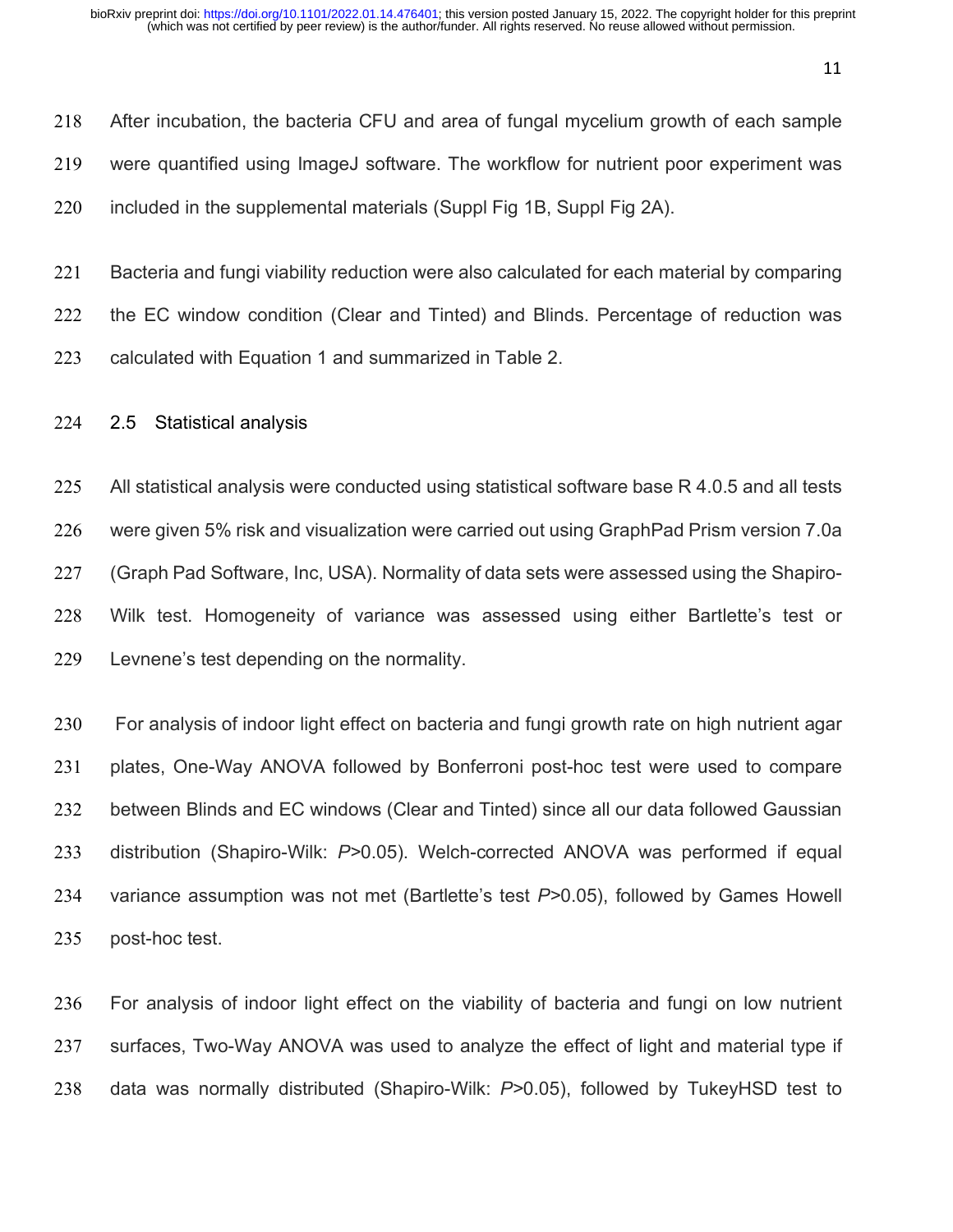After incubation, the bacteria CFU and area of fungal mycelium growth of each sample were quantified using ImageJ software. The workflow for nutrient poor experiment was included in the supplemental materials (Suppl Fig 1B, Suppl Fig 2A).

 Bacteria and fungi viability reduction were also calculated for each material by comparing 222 the EC window condition (Clear and Tinted) and Blinds. Percentage of reduction was calculated with Equation 1 and summarized in Table 2.

2.5 Statistical analysis

225 All statistical analysis were conducted using statistical software base R 4.0.5 and all tests were given 5% risk and visualization were carried out using GraphPad Prism version 7.0a (Graph Pad Software, Inc, USA). Normality of data sets were assessed using the Shapiro- Wilk test. Homogeneity of variance was assessed using either Bartlette's test or Levnene's test depending on the normality.

 For analysis of indoor light effect on bacteria and fungi growth rate on high nutrient agar plates, One-Way ANOVA followed by Bonferroni post-hoc test were used to compare between Blinds and EC windows (Clear and Tinted) since all our data followed Gaussian distribution (Shapiro-Wilk: *P>*0.05). Welch-corrected ANOVA was performed if equal variance assumption was not met (Bartlette's test *P>*0.05), followed by Games Howell post-hoc test.

 For analysis of indoor light effect on the viability of bacteria and fungi on low nutrient surfaces, Two-Way ANOVA was used to analyze the effect of light and material type if data was normally distributed (Shapiro-Wilk: *P>*0.05), followed by TukeyHSD test to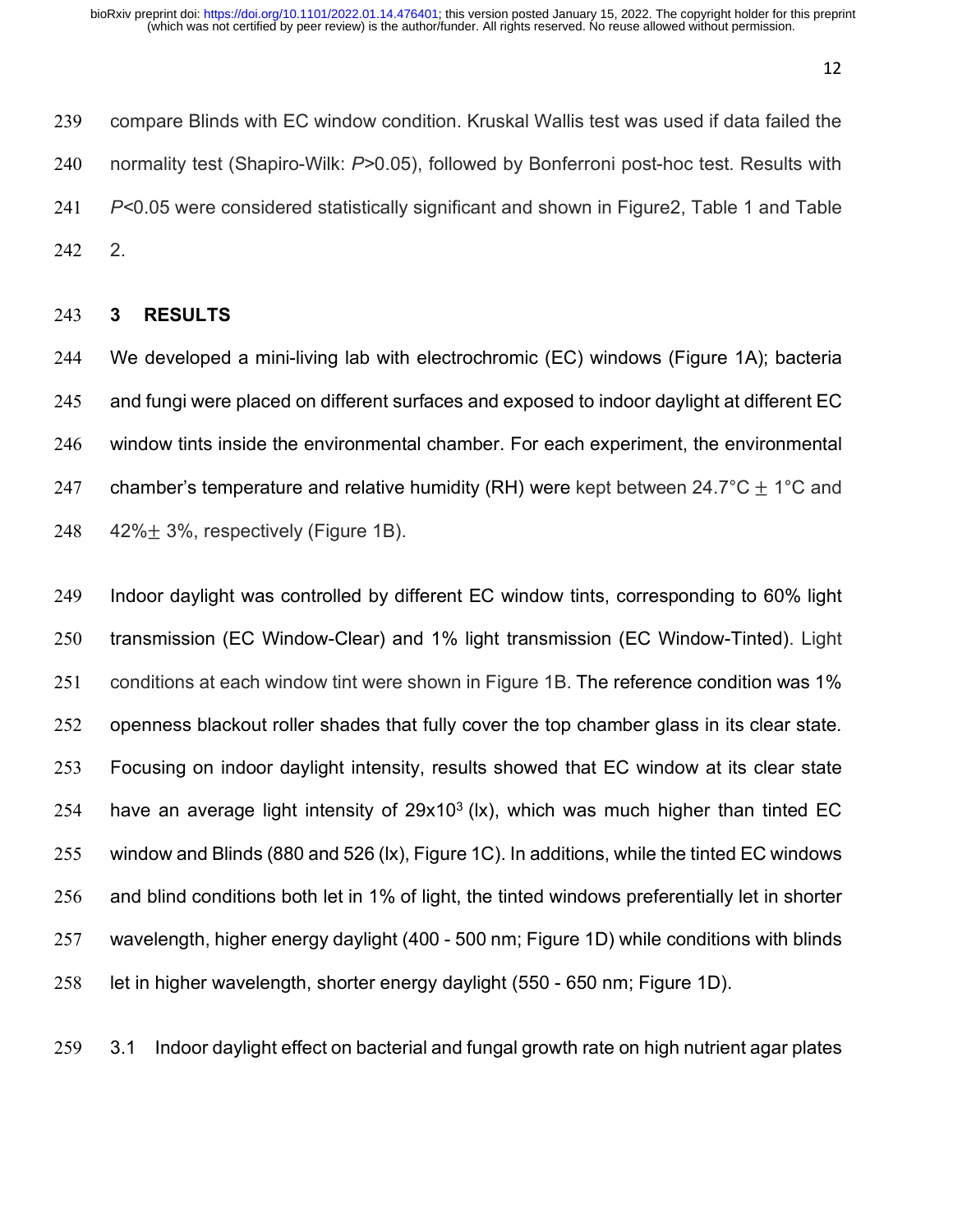compare Blinds with EC window condition. Kruskal Wallis test was used if data failed the normality test (Shapiro-Wilk: *P>*0.05), followed by Bonferroni post-hoc test. Results with *P<*0.05 were considered statistically significant and shown in Figure2, Table 1 and Table 2.

#### **3 RESULTS**

 We developed a mini-living lab with electrochromic (EC) windows (Figure 1A); bacteria and fungi were placed on different surfaces and exposed to indoor daylight at different EC window tints inside the environmental chamber. For each experiment, the environmental 247 chamber's temperature and relative humidity (RH) were kept between 24.7°C  $\pm$  1°C and  $42\% \pm 3\%$ , respectively (Figure 1B).

 Indoor daylight was controlled by different EC window tints, corresponding to 60% light transmission (EC Window-Clear) and 1% light transmission (EC Window-Tinted). Light conditions at each window tint were shown in Figure 1B. The reference condition was 1% openness blackout roller shades that fully cover the top chamber glass in its clear state. Focusing on indoor daylight intensity, results showed that EC window at its clear state 254 have an average light intensity of  $29x10<sup>3</sup>$  (lx), which was much higher than tinted EC window and Blinds (880 and 526 (lx), Figure 1C). In additions, while the tinted EC windows and blind conditions both let in 1% of light, the tinted windows preferentially let in shorter wavelength, higher energy daylight (400 - 500 nm; Figure 1D) while conditions with blinds let in higher wavelength, shorter energy daylight (550 - 650 nm; Figure 1D).

3.1 Indoor daylight effect on bacterial and fungal growth rate on high nutrient agar plates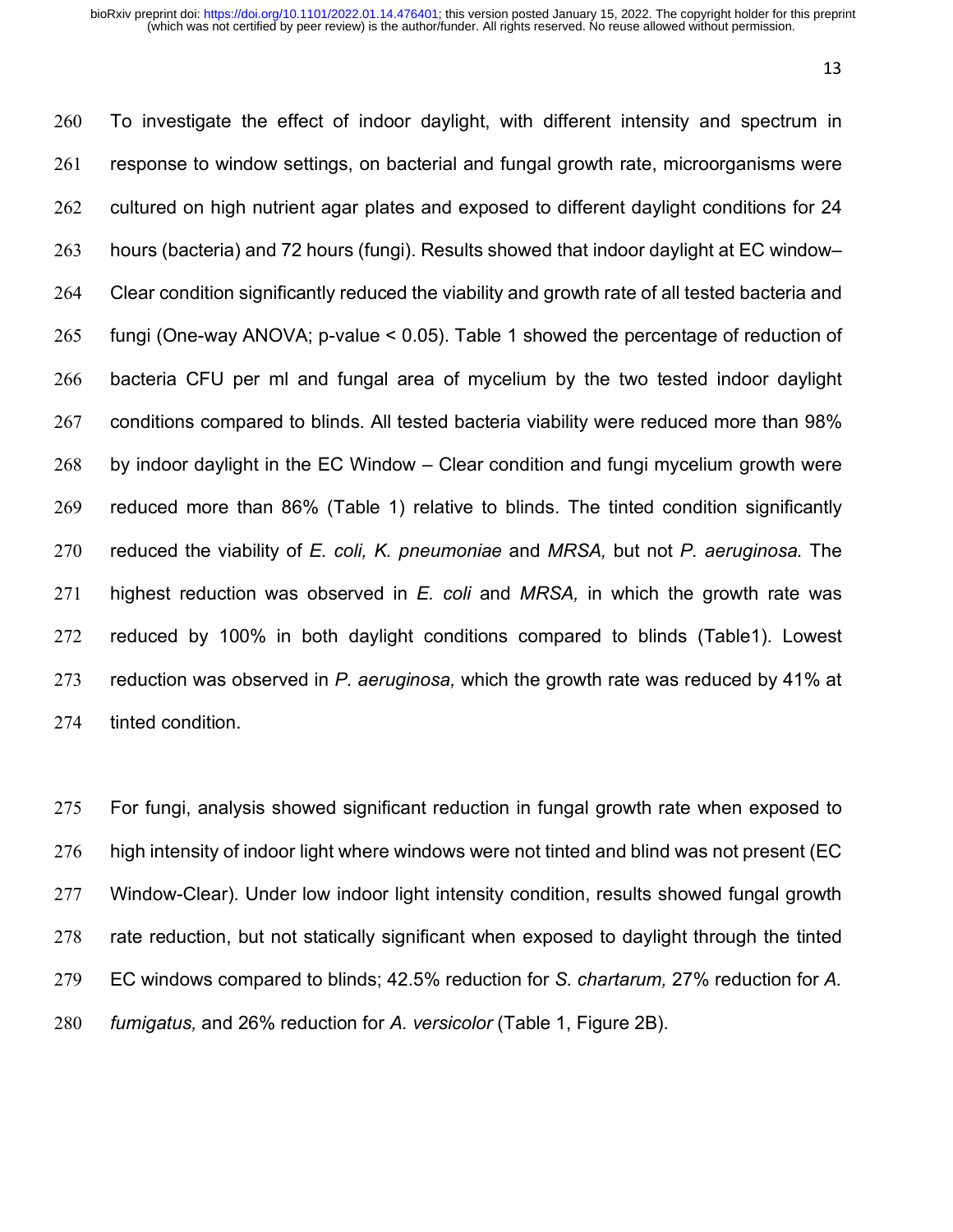To investigate the effect of indoor daylight, with different intensity and spectrum in response to window settings, on bacterial and fungal growth rate, microorganisms were 262 cultured on high nutrient agar plates and exposed to different daylight conditions for 24 hours (bacteria) and 72 hours (fungi). Results showed that indoor daylight at EC window– Clear condition significantly reduced the viability and growth rate of all tested bacteria and fungi (One-way ANOVA; p-value < 0.05). Table 1 showed the percentage of reduction of bacteria CFU per ml and fungal area of mycelium by the two tested indoor daylight conditions compared to blinds. All tested bacteria viability were reduced more than 98% by indoor daylight in the EC Window – Clear condition and fungi mycelium growth were reduced more than 86% (Table 1) relative to blinds. The tinted condition significantly reduced the viability of *E. coli, K. pneumoniae* and *MRSA,* but not *P. aeruginosa.* The highest reduction was observed in *E. coli* and *MRSA,* in which the growth rate was reduced by 100% in both daylight conditions compared to blinds (Table1). Lowest reduction was observed in *P. aeruginosa,* which the growth rate was reduced by 41% at tinted condition.

 For fungi, analysis showed significant reduction in fungal growth rate when exposed to high intensity of indoor light where windows were not tinted and blind was not present (EC Window-Clear). Under low indoor light intensity condition, results showed fungal growth rate reduction, but not statically significant when exposed to daylight through the tinted EC windows compared to blinds; 42.5% reduction for *S. chartarum,* 27% reduction for *A. fumigatus,* and 26% reduction for *A. versicolor* (Table 1, Figure 2B).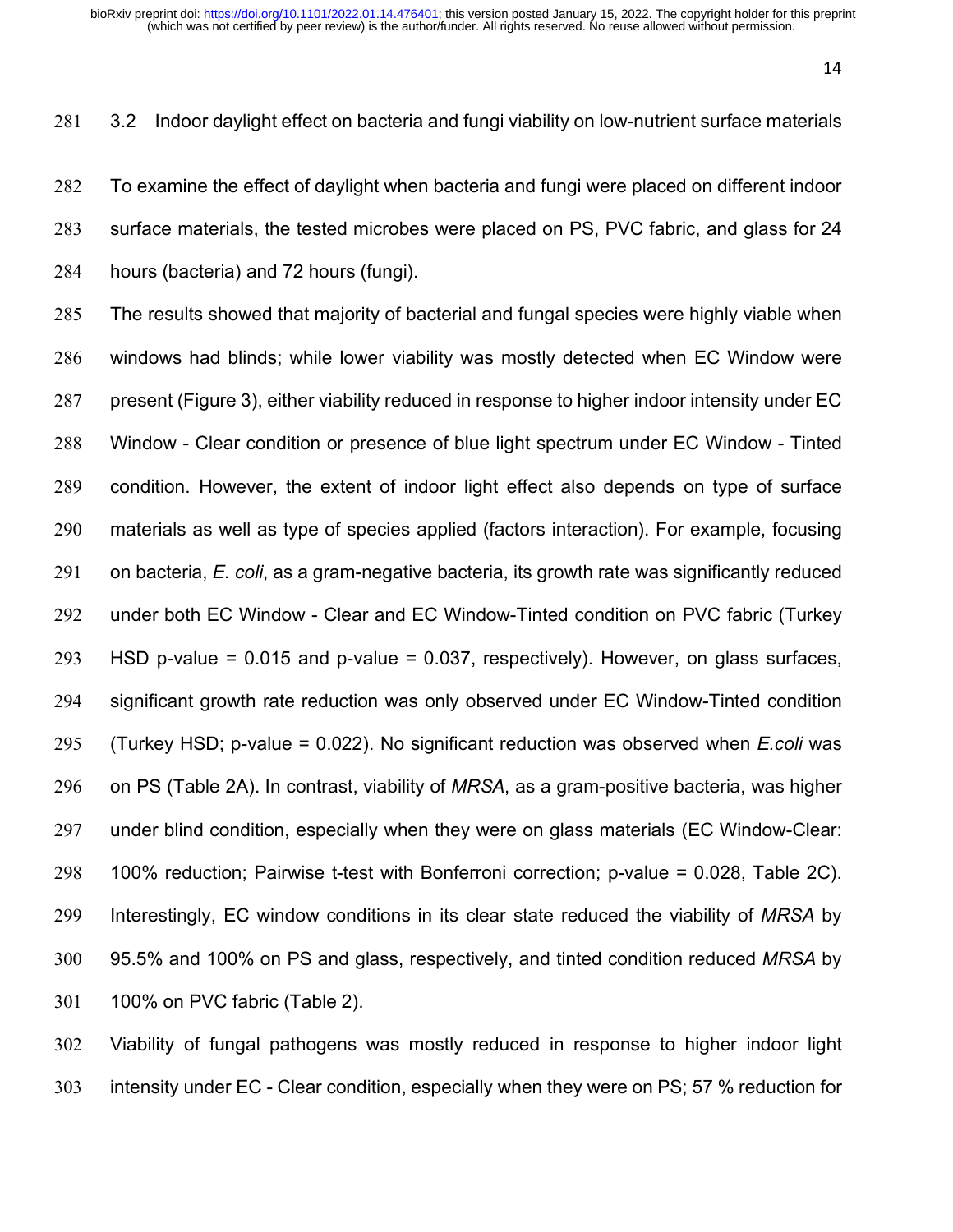# 3.2 Indoor daylight effect on bacteria and fungi viability on low-nutrient surface materials

 To examine the effect of daylight when bacteria and fungi were placed on different indoor surface materials, the tested microbes were placed on PS, PVC fabric, and glass for 24 hours (bacteria) and 72 hours (fungi).

 The results showed that majority of bacterial and fungal species were highly viable when windows had blinds; while lower viability was mostly detected when EC Window were present (Figure 3), either viability reduced in response to higher indoor intensity under EC Window - Clear condition or presence of blue light spectrum under EC Window - Tinted condition. However, the extent of indoor light effect also depends on type of surface materials as well as type of species applied (factors interaction). For example, focusing on bacteria, *E. coli*, as a gram-negative bacteria, its growth rate was significantly reduced under both EC Window - Clear and EC Window-Tinted condition on PVC fabric (Turkey 293 HSD p-value =  $0.015$  and p-value =  $0.037$ , respectively). However, on glass surfaces, significant growth rate reduction was only observed under EC Window-Tinted condition (Turkey HSD; p-value = 0.022). No significant reduction was observed when *E.coli* was on PS (Table 2A). In contrast, viability of *MRSA*, as a gram-positive bacteria, was higher under blind condition, especially when they were on glass materials (EC Window-Clear: 100% reduction; Pairwise t-test with Bonferroni correction; p-value = 0.028, Table 2C). Interestingly, EC window conditions in its clear state reduced the viability of *MRSA* by 95.5% and 100% on PS and glass, respectively, and tinted condition reduced *MRSA* by 100% on PVC fabric (Table 2).

 Viability of fungal pathogens was mostly reduced in response to higher indoor light intensity under EC - Clear condition, especially when they were on PS; 57 % reduction for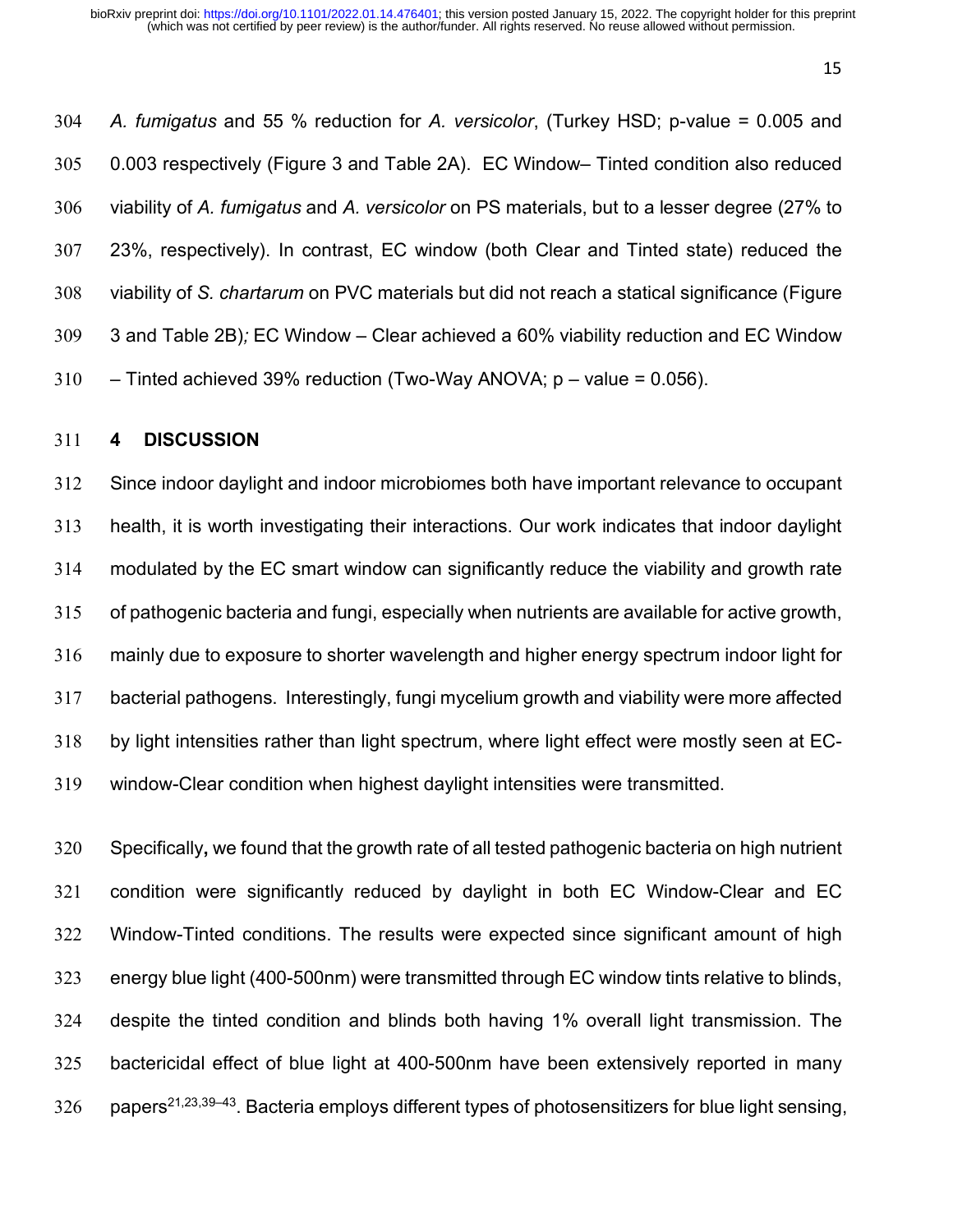*A. fumigatus* and 55 % reduction for *A. versicolor*, (Turkey HSD; p-value = 0.005 and 0.003 respectively (Figure 3 and Table 2A). EC Window– Tinted condition also reduced viability of *A. fumigatus* and *A. versicolor* on PS materials, but to a lesser degree (27% to 23%, respectively). In contrast, EC window (both Clear and Tinted state) reduced the viability of *S. chartarum* on PVC materials but did not reach a statical significance (Figure 3 and Table 2B)*;* EC Window – Clear achieved a 60% viability reduction and EC Window  $310 -$  Tinted achieved 39% reduction (Two-Way ANOVA; p – value = 0.056).

#### **4 DISCUSSION**

 Since indoor daylight and indoor microbiomes both have important relevance to occupant health, it is worth investigating their interactions. Our work indicates that indoor daylight modulated by the EC smart window can significantly reduce the viability and growth rate of pathogenic bacteria and fungi, especially when nutrients are available for active growth, mainly due to exposure to shorter wavelength and higher energy spectrum indoor light for bacterial pathogens. Interestingly, fungi mycelium growth and viability were more affected by light intensities rather than light spectrum, where light effect were mostly seen at EC-window-Clear condition when highest daylight intensities were transmitted.

 Specifically**,** we found that the growth rate of all tested pathogenic bacteria on high nutrient condition were significantly reduced by daylight in both EC Window-Clear and EC Window-Tinted conditions. The results were expected since significant amount of high energy blue light (400-500nm) were transmitted through EC window tints relative to blinds, despite the tinted condition and blinds both having 1% overall light transmission. The bactericidal effect of blue light at 400-500nm have been extensively reported in many 326 papers<sup>21,23,39–43</sup>. Bacteria employs different types of photosensitizers for blue light sensing,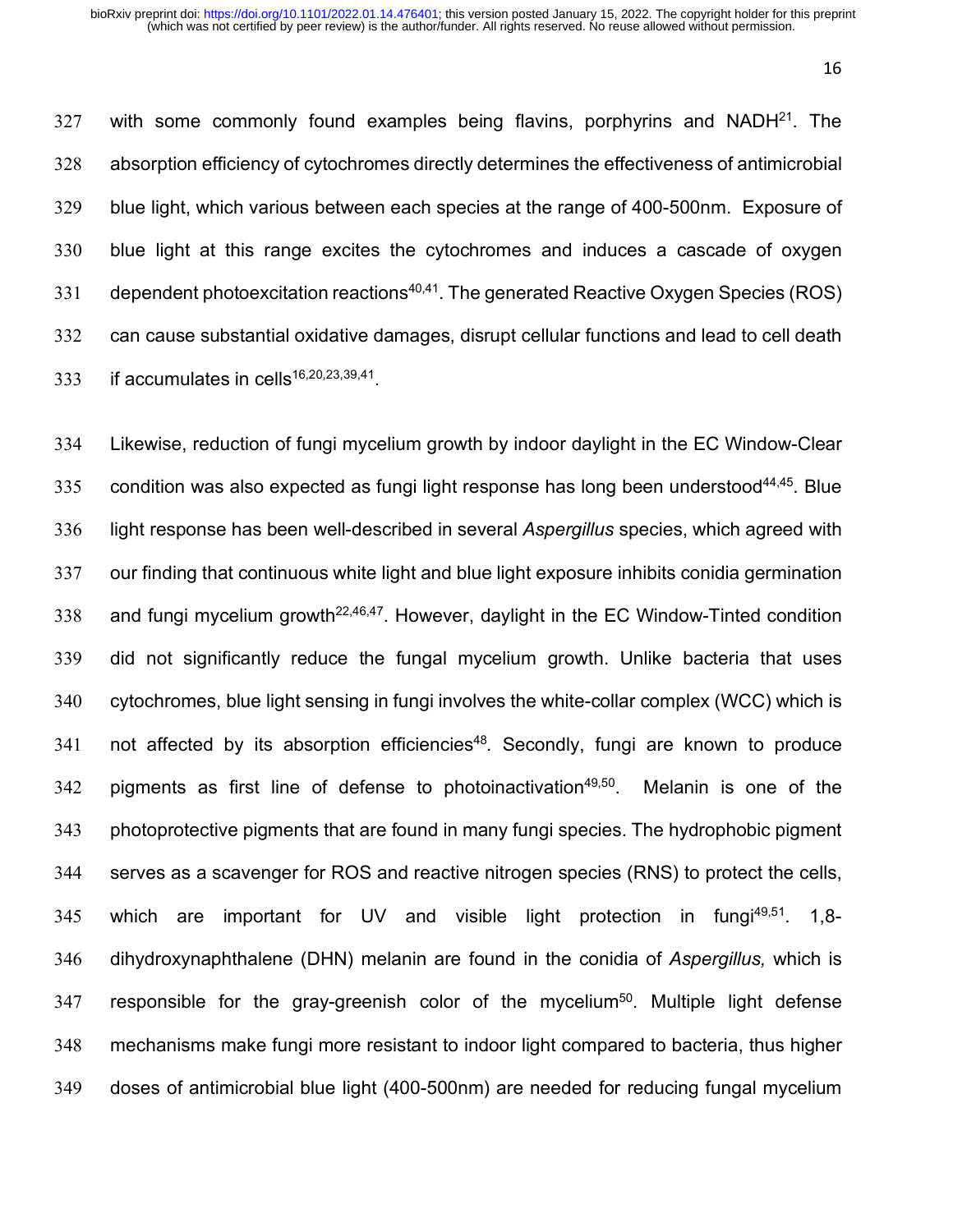327 with some commonly found examples being flavins, porphyrins and NADH $^{21}$ . The 328 absorption efficiency of cytochromes directly determines the effectiveness of antimicrobial 329 blue light, which various between each species at the range of 400-500nm. Exposure of 330 blue light at this range excites the cytochromes and induces a cascade of oxygen 331 dependent photoexcitation reactions<sup>40,41</sup>. The generated Reactive Oxygen Species (ROS) 332 can cause substantial oxidative damages, disrupt cellular functions and lead to cell death 333 if accumulates in cells<sup>16,20,23,39,41</sup>.

 Likewise, reduction of fungi mycelium growth by indoor daylight in the EC Window-Clear 335 condition was also expected as fungi light response has long been understood<sup>44,45</sup>. Blue light response has been well-described in several *Aspergillus* species, which agreed with our finding that continuous white light and blue light exposure inhibits conidia germination 338 and fungi mycelium growth<sup>22,46,47</sup>. However, daylight in the EC Window-Tinted condition did not significantly reduce the fungal mycelium growth. Unlike bacteria that uses cytochromes, blue light sensing in fungi involves the white-collar complex (WCC) which is 341 not affected by its absorption efficiencies<sup>48</sup>. Secondly, fungi are known to produce 342 pigments as first line of defense to photoinactivation<sup>49,50</sup>. Melanin is one of the photoprotective pigments that are found in many fungi species. The hydrophobic pigment serves as a scavenger for ROS and reactive nitrogen species (RNS) to protect the cells, 345 which are important for UV and visible light protection in fungi<sup>49,51</sup>. 1,8- dihydroxynaphthalene (DHN) melanin are found in the conidia of *Aspergillus,* which is 347 responsible for the gray-greenish color of the mycelium<sup>50</sup>. Multiple light defense mechanisms make fungi more resistant to indoor light compared to bacteria, thus higher doses of antimicrobial blue light (400-500nm) are needed for reducing fungal mycelium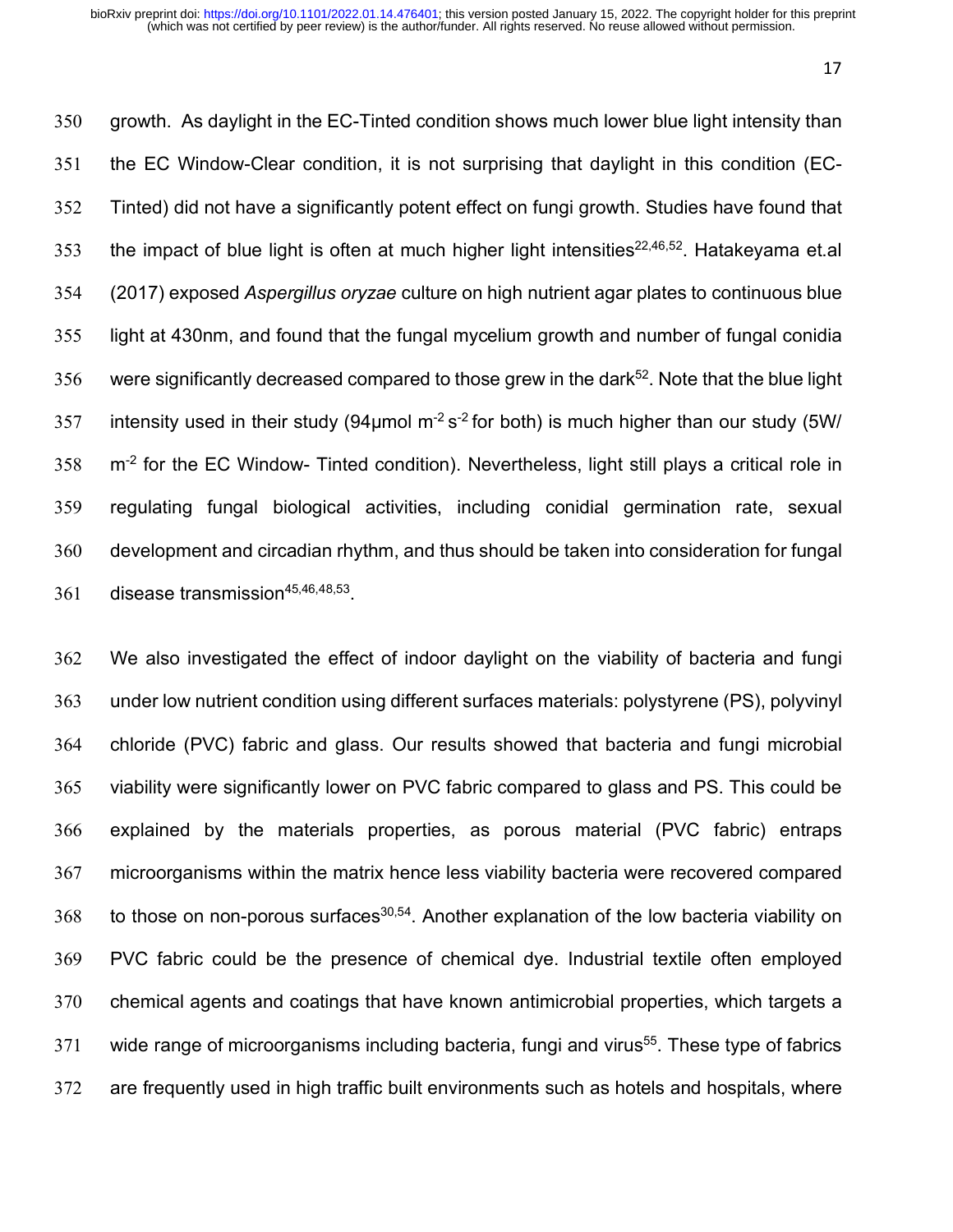growth. As daylight in the EC-Tinted condition shows much lower blue light intensity than the EC Window-Clear condition, it is not surprising that daylight in this condition (EC- Tinted) did not have a significantly potent effect on fungi growth. Studies have found that 353 the impact of blue light is often at much higher light intensities<sup>22,46,52</sup>. Hatakeyama et.al (2017) exposed *Aspergillus oryzae* culture on high nutrient agar plates to continuous blue light at 430nm, and found that the fungal mycelium growth and number of fungal conidia 356 were significantly decreased compared to those grew in the dark<sup>52</sup>. Note that the blue light 357 intensity used in their study (94 $\mu$ mol m<sup>-2</sup> s<sup>-2</sup> for both) is much higher than our study (5W/  $\text{m}^2$  for the EC Window- Tinted condition). Nevertheless, light still plays a critical role in regulating fungal biological activities, including conidial germination rate, sexual development and circadian rhythm, and thus should be taken into consideration for fungal 361 disease transmission $45,46,48,53$ .

 We also investigated the effect of indoor daylight on the viability of bacteria and fungi under low nutrient condition using different surfaces materials: polystyrene (PS), polyvinyl chloride (PVC) fabric and glass. Our results showed that bacteria and fungi microbial viability were significantly lower on PVC fabric compared to glass and PS. This could be explained by the materials properties, as porous material (PVC fabric) entraps microorganisms within the matrix hence less viability bacteria were recovered compared 368 to those on non-porous surfaces<sup>30,54</sup>. Another explanation of the low bacteria viability on PVC fabric could be the presence of chemical dye. Industrial textile often employed chemical agents and coatings that have known antimicrobial properties, which targets a wide range of microorganisms including bacteria, fungi and virus<sup>55</sup>. These type of fabrics are frequently used in high traffic built environments such as hotels and hospitals, where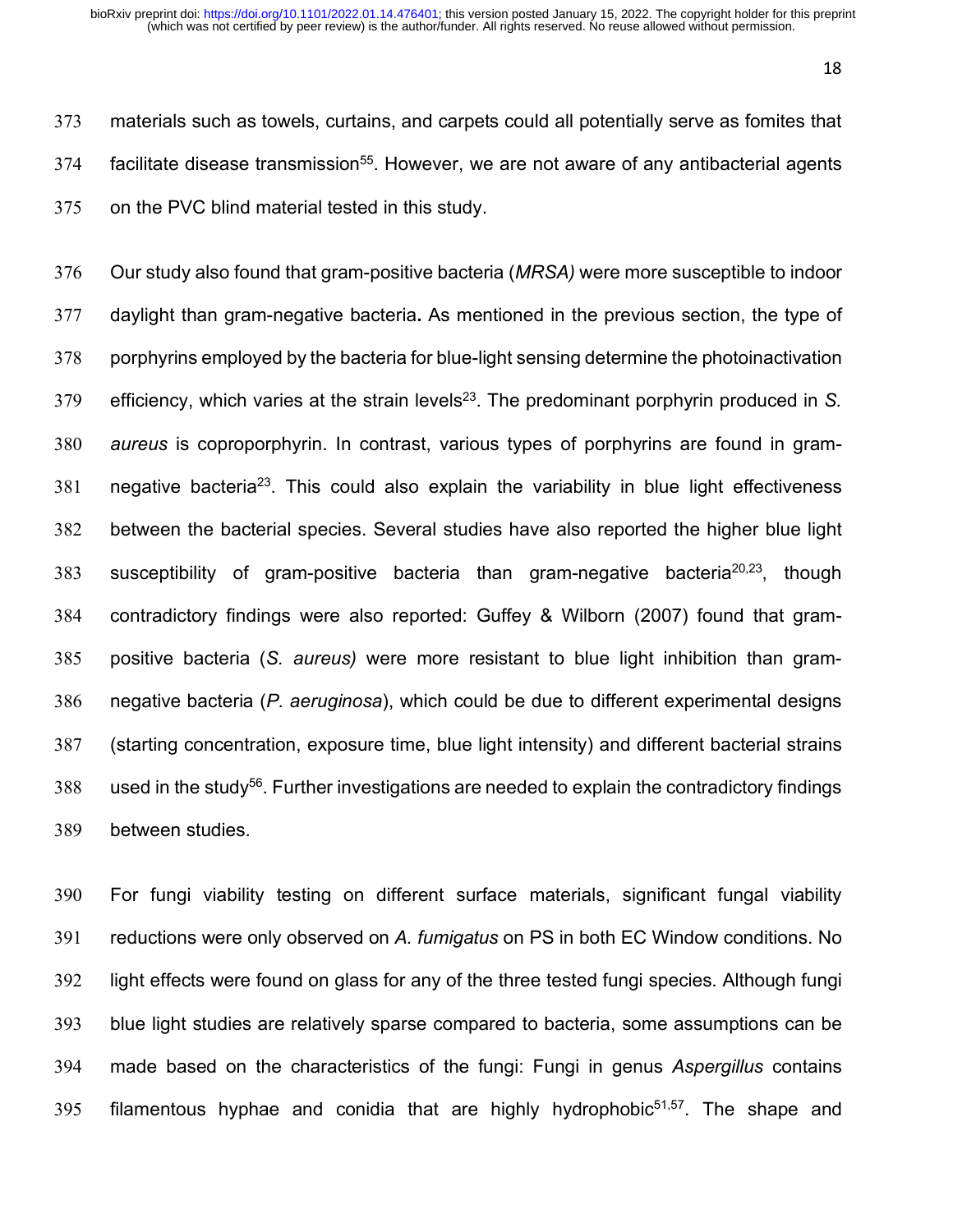materials such as towels, curtains, and carpets could all potentially serve as fomites that facilitate disease transmission<sup>55</sup>. However, we are not aware of any antibacterial agents on the PVC blind material tested in this study.

 Our study also found that gram-positive bacteria (*MRSA)* were more susceptible to indoor daylight than gram-negative bacteria**.** As mentioned in the previous section, the type of porphyrins employed by the bacteria for blue-light sensing determine the photoinactivation 379 efficiency, which varies at the strain levels<sup>23</sup>. The predominant porphyrin produced in *S. aureus* is coproporphyrin. In contrast, various types of porphyrins are found in gram- negative bacteria<sup>23</sup>. This could also explain the variability in blue light effectiveness between the bacterial species. Several studies have also reported the higher blue light 383 susceptibility of gram-positive bacteria than gram-negative bacteria<sup>20,23</sup>, though contradictory findings were also reported: Guffey & Wilborn (2007) found that gram- positive bacteria (*S. aureus)* were more resistant to blue light inhibition than gram- negative bacteria (*P. aeruginosa*), which could be due to different experimental designs (starting concentration, exposure time, blue light intensity) and different bacterial strains 388 used in the study<sup>56</sup>. Further investigations are needed to explain the contradictory findings between studies.

 For fungi viability testing on different surface materials, significant fungal viability reductions were only observed on *A. fumigatus* on PS in both EC Window conditions. No light effects were found on glass for any of the three tested fungi species. Although fungi blue light studies are relatively sparse compared to bacteria, some assumptions can be made based on the characteristics of the fungi: Fungi in genus *Aspergillus* contains 395 filamentous hyphae and conidia that are highly hydrophobic<sup>51,57</sup>. The shape and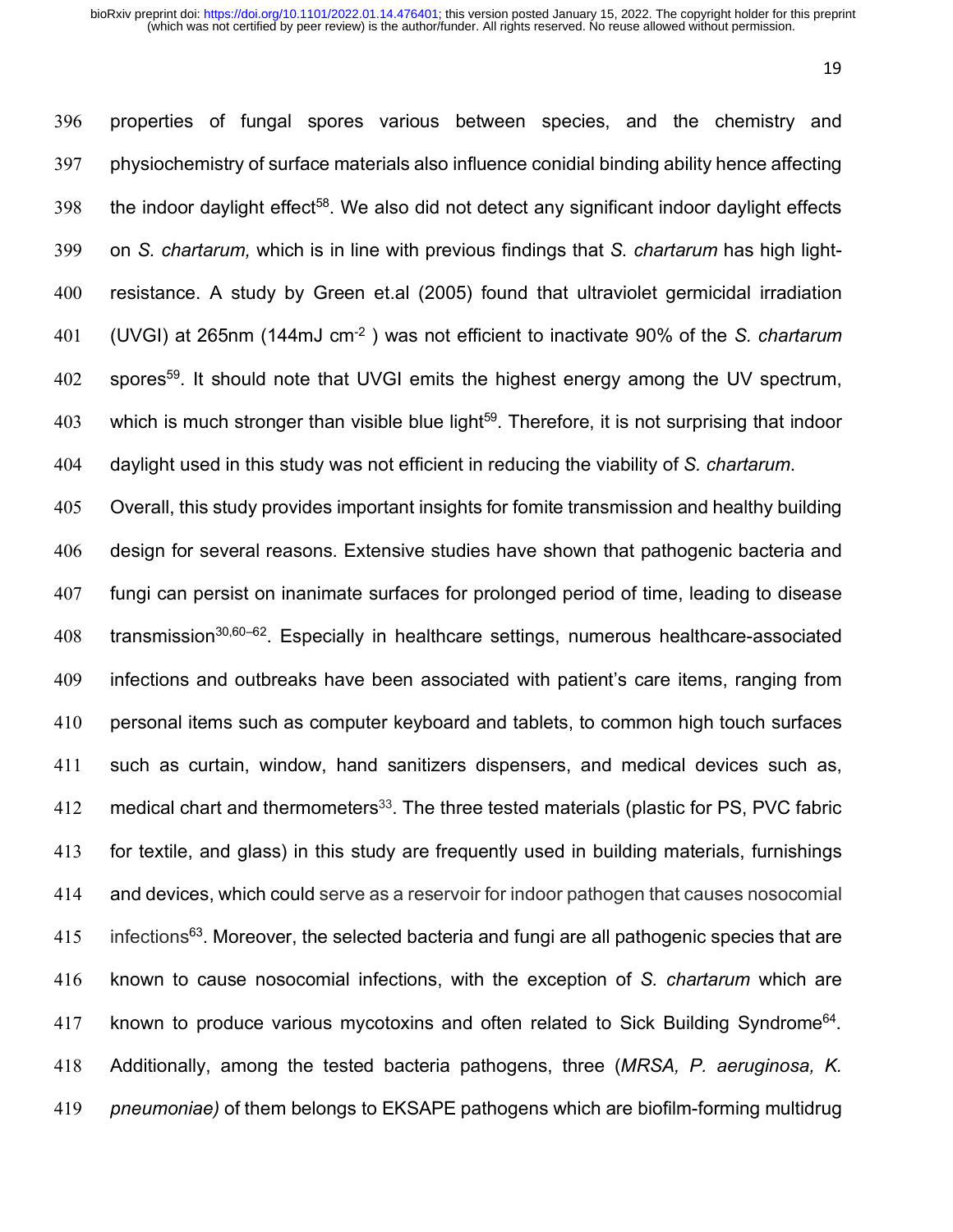properties of fungal spores various between species, and the chemistry and physiochemistry of surface materials also influence conidial binding ability hence affecting 398 the indoor daylight effect<sup>58</sup>. We also did not detect any significant indoor daylight effects on *S. chartarum,* which is in line with previous findings that *S. chartarum* has high light- resistance. A study by Green et.al (2005) found that ultraviolet germicidal irradiation (UVGI) at 265nm (144mJ cm-2 ) was not efficient to inactivate 90% of the *S. chartarum*  402 spores<sup>59</sup>. It should note that UVGI emits the highest energy among the UV spectrum, 403 which is much stronger than visible blue light<sup>59</sup>. Therefore, it is not surprising that indoor daylight used in this study was not efficient in reducing the viability of *S. chartarum*.

 Overall, this study provides important insights for fomite transmission and healthy building design for several reasons. Extensive studies have shown that pathogenic bacteria and fungi can persist on inanimate surfaces for prolonged period of time, leading to disease transmission<sup>30,60–62</sup>. Especially in healthcare settings, numerous healthcare-associated infections and outbreaks have been associated with patient's care items, ranging from personal items such as computer keyboard and tablets, to common high touch surfaces such as curtain, window, hand sanitizers dispensers, and medical devices such as, 412 medical chart and thermometers<sup>33</sup>. The three tested materials (plastic for PS, PVC fabric for textile, and glass) in this study are frequently used in building materials, furnishings and devices, which could serve as a reservoir for indoor pathogen that causes nosocomial infections<sup>63</sup>. Moreover, the selected bacteria and fungi are all pathogenic species that are known to cause nosocomial infections, with the exception of *S. chartarum* which are 417 known to produce various mycotoxins and often related to Sick Building Syndrome<sup>64</sup>. Additionally, among the tested bacteria pathogens, three (*MRSA, P. aeruginosa, K. pneumoniae)* of them belongs to EKSAPE pathogens which are biofilm-forming multidrug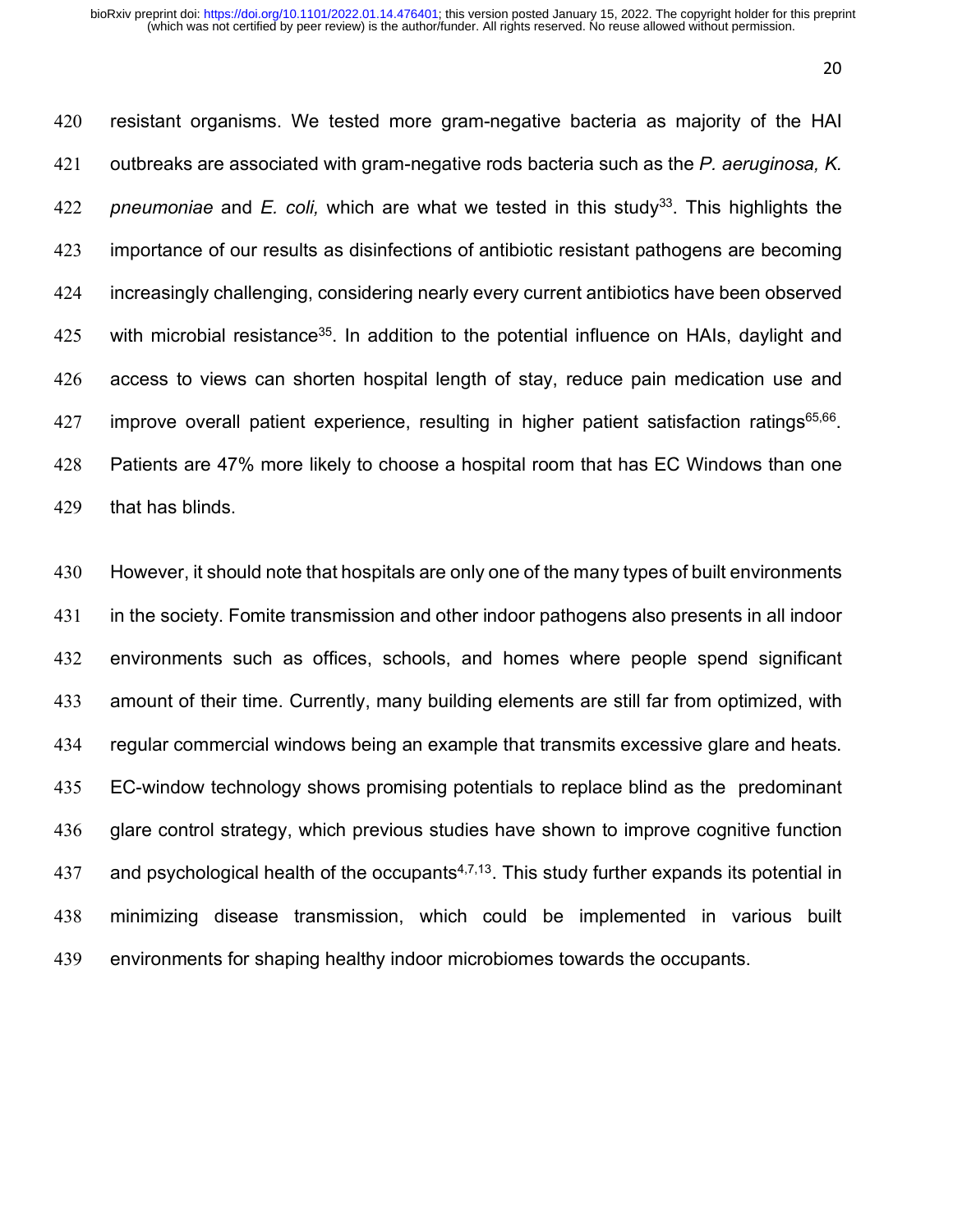resistant organisms. We tested more gram-negative bacteria as majority of the HAI outbreaks are associated with gram-negative rods bacteria such as the *P. aeruginosa, K.*  422 pneumoniae and *E. coli*, which are what we tested in this study<sup>33</sup>. This highlights the importance of our results as disinfections of antibiotic resistant pathogens are becoming 424 increasingly challenging, considering nearly every current antibiotics have been observed 425 with microbial resistance<sup>35</sup>. In addition to the potential influence on HAIs, daylight and access to views can shorten hospital length of stay, reduce pain medication use and improve overall patient experience, resulting in higher patient satisfaction ratings<sup>65,66</sup>. Patients are 47% more likely to choose a hospital room that has EC Windows than one that has blinds.

 However, it should note that hospitals are only one of the many types of built environments in the society. Fomite transmission and other indoor pathogens also presents in all indoor environments such as offices, schools, and homes where people spend significant amount of their time. Currently, many building elements are still far from optimized, with regular commercial windows being an example that transmits excessive glare and heats. 435 EC-window technology shows promising potentials to replace blind as the predominant glare control strategy, which previous studies have shown to improve cognitive function 437 and psychological health of the occupants<sup>4,7,13</sup>. This study further expands its potential in minimizing disease transmission, which could be implemented in various built environments for shaping healthy indoor microbiomes towards the occupants.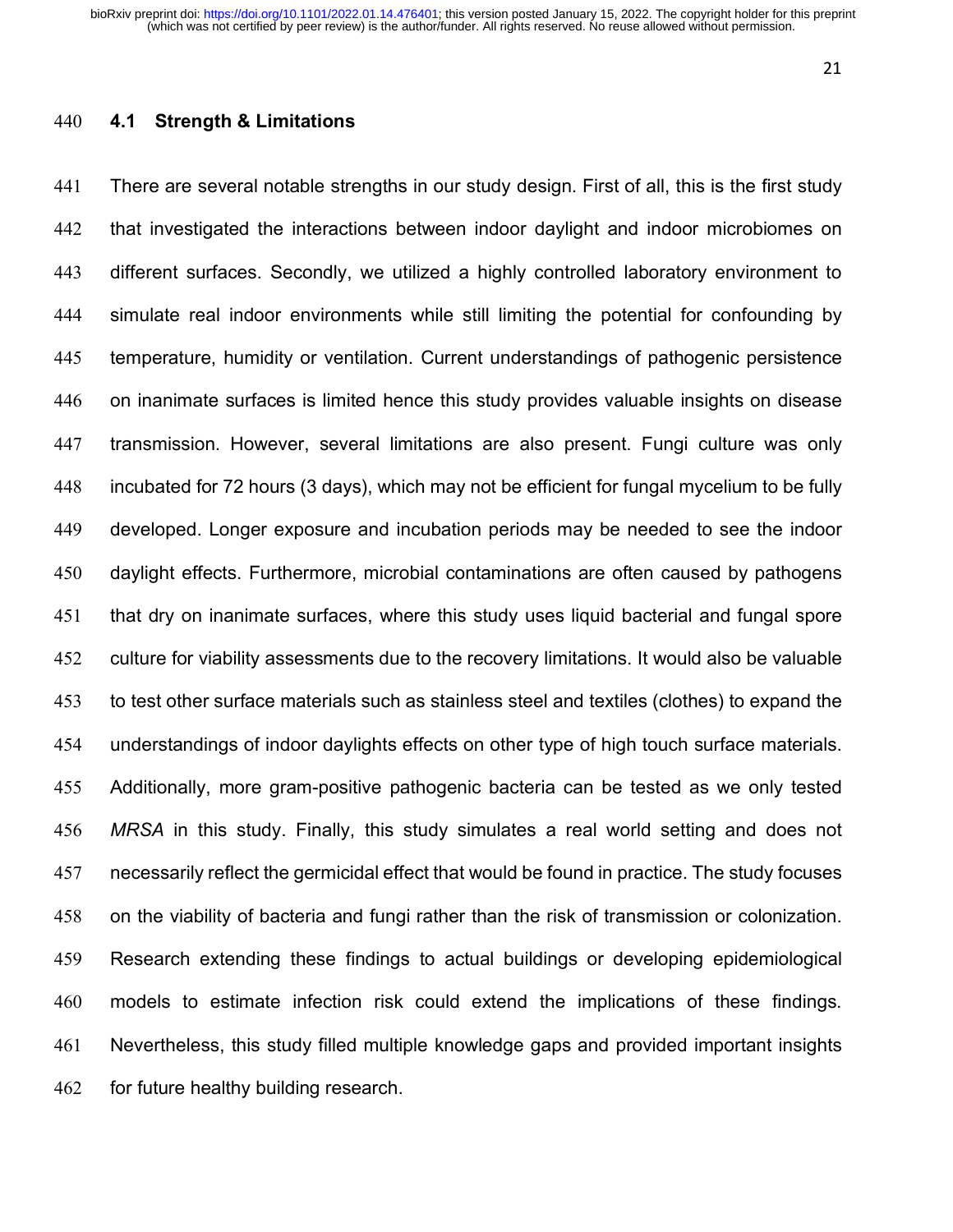# **4.1 Strength & Limitations**

 There are several notable strengths in our study design. First of all, this is the first study that investigated the interactions between indoor daylight and indoor microbiomes on different surfaces. Secondly, we utilized a highly controlled laboratory environment to simulate real indoor environments while still limiting the potential for confounding by temperature, humidity or ventilation. Current understandings of pathogenic persistence on inanimate surfaces is limited hence this study provides valuable insights on disease transmission. However, several limitations are also present. Fungi culture was only incubated for 72 hours (3 days), which may not be efficient for fungal mycelium to be fully developed. Longer exposure and incubation periods may be needed to see the indoor daylight effects. Furthermore, microbial contaminations are often caused by pathogens that dry on inanimate surfaces, where this study uses liquid bacterial and fungal spore culture for viability assessments due to the recovery limitations. It would also be valuable to test other surface materials such as stainless steel and textiles (clothes) to expand the understandings of indoor daylights effects on other type of high touch surface materials. Additionally, more gram-positive pathogenic bacteria can be tested as we only tested *MRSA* in this study. Finally, this study simulates a real world setting and does not necessarily reflect the germicidal effect that would be found in practice. The study focuses on the viability of bacteria and fungi rather than the risk of transmission or colonization. Research extending these findings to actual buildings or developing epidemiological models to estimate infection risk could extend the implications of these findings. Nevertheless, this study filled multiple knowledge gaps and provided important insights for future healthy building research.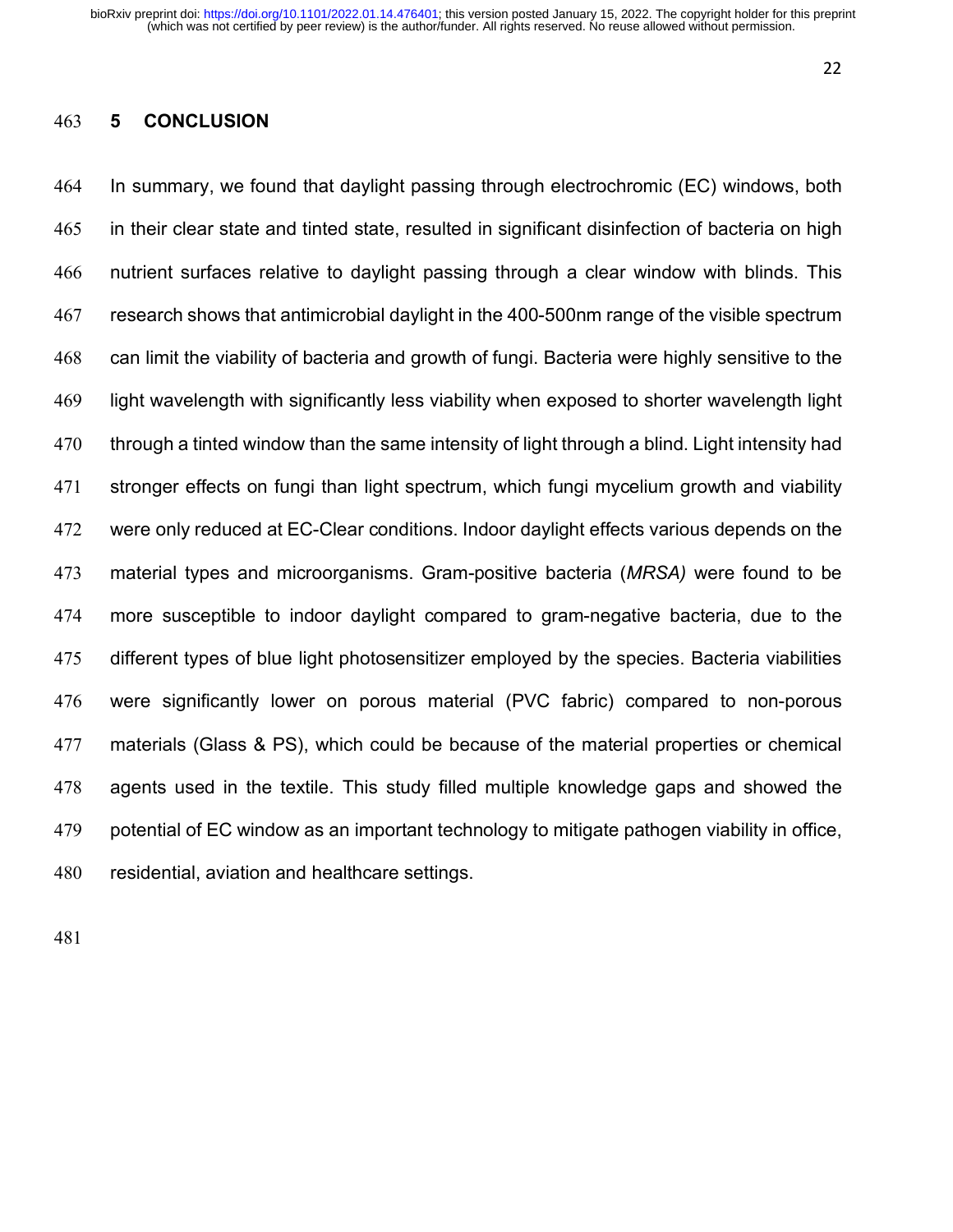# **5 CONCLUSION**

 In summary, we found that daylight passing through electrochromic (EC) windows, both in their clear state and tinted state, resulted in significant disinfection of bacteria on high nutrient surfaces relative to daylight passing through a clear window with blinds. This research shows that antimicrobial daylight in the 400-500nm range of the visible spectrum can limit the viability of bacteria and growth of fungi. Bacteria were highly sensitive to the light wavelength with significantly less viability when exposed to shorter wavelength light through a tinted window than the same intensity of light through a blind. Light intensity had stronger effects on fungi than light spectrum, which fungi mycelium growth and viability 472 were only reduced at EC-Clear conditions. Indoor daylight effects various depends on the material types and microorganisms. Gram-positive bacteria (*MRSA)* were found to be more susceptible to indoor daylight compared to gram-negative bacteria, due to the different types of blue light photosensitizer employed by the species. Bacteria viabilities were significantly lower on porous material (PVC fabric) compared to non-porous materials (Glass & PS), which could be because of the material properties or chemical agents used in the textile. This study filled multiple knowledge gaps and showed the potential of EC window as an important technology to mitigate pathogen viability in office, residential, aviation and healthcare settings.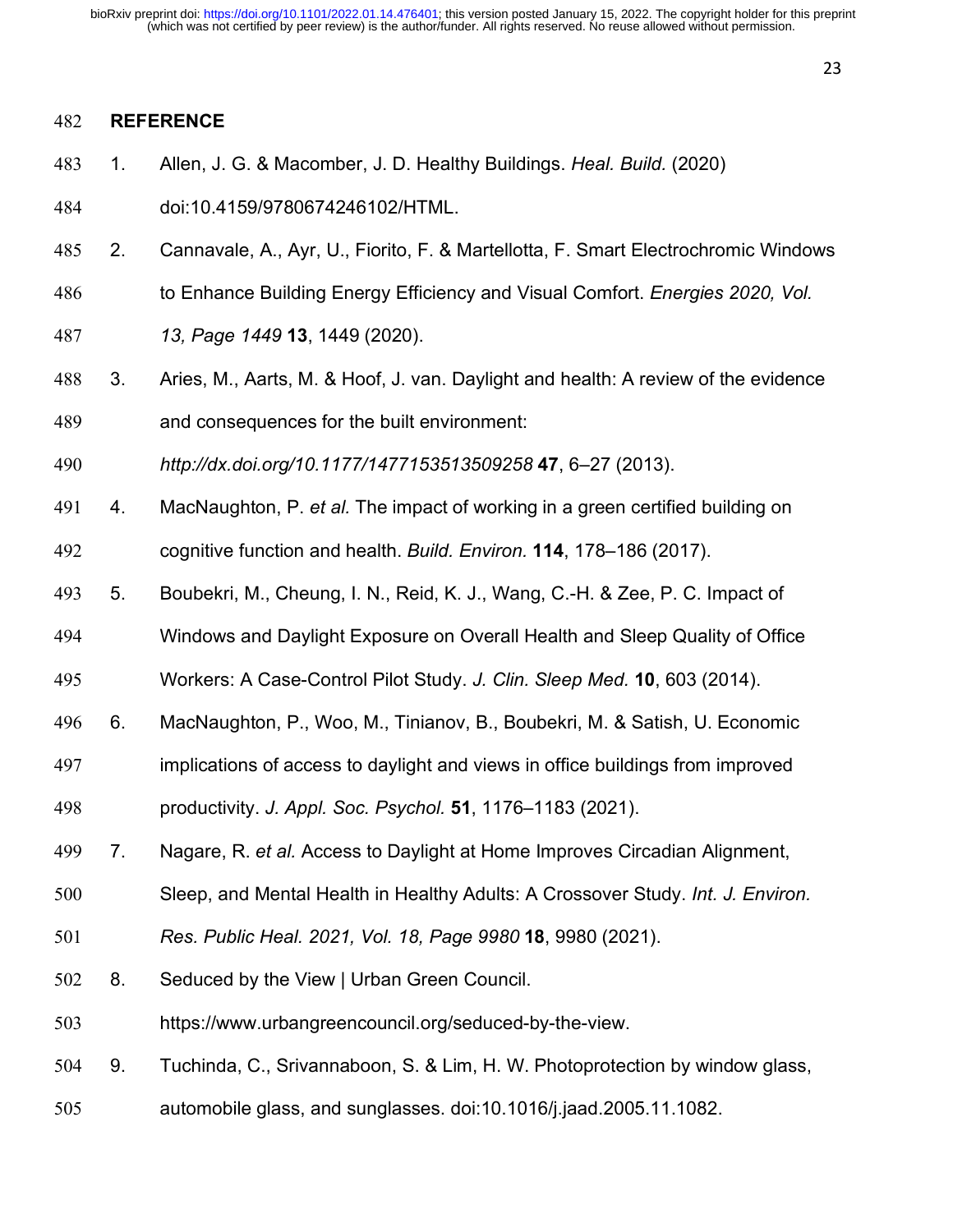#### **REFERENCE**

- 1. Allen, J. G. & Macomber, J. D. Healthy Buildings. *Heal. Build.* (2020)
- doi:10.4159/9780674246102/HTML.
- 2. Cannavale, A., Ayr, U., Fiorito, F. & Martellotta, F. Smart Electrochromic Windows
- to Enhance Building Energy Efficiency and Visual Comfort. *Energies 2020, Vol.*
- *13, Page 1449* **13**, 1449 (2020).
- 3. Aries, M., Aarts, M. & Hoof, J. van. Daylight and health: A review of the evidence and consequences for the built environment:
- *http://dx.doi.org/10.1177/1477153513509258* **47**, 6–27 (2013).
- 4. MacNaughton, P. *et al.* The impact of working in a green certified building on
- cognitive function and health. *Build. Environ.* **114**, 178–186 (2017).
- 5. Boubekri, M., Cheung, I. N., Reid, K. J., Wang, C.-H. & Zee, P. C. Impact of
- Windows and Daylight Exposure on Overall Health and Sleep Quality of Office
- Workers: A Case-Control Pilot Study. *J. Clin. Sleep Med.* **10**, 603 (2014).
- 6. MacNaughton, P., Woo, M., Tinianov, B., Boubekri, M. & Satish, U. Economic
- implications of access to daylight and views in office buildings from improved
- productivity. *J. Appl. Soc. Psychol.* **51**, 1176–1183 (2021).
- 7. Nagare, R. *et al.* Access to Daylight at Home Improves Circadian Alignment,
- Sleep, and Mental Health in Healthy Adults: A Crossover Study. *Int. J. Environ.*
- *Res. Public Heal. 2021, Vol. 18, Page 9980* **18**, 9980 (2021).
- 8. Seduced by the View | Urban Green Council.
- https://www.urbangreencouncil.org/seduced-by-the-view.
- 9. Tuchinda, C., Srivannaboon, S. & Lim, H. W. Photoprotection by window glass,
- automobile glass, and sunglasses. doi:10.1016/j.jaad.2005.11.1082.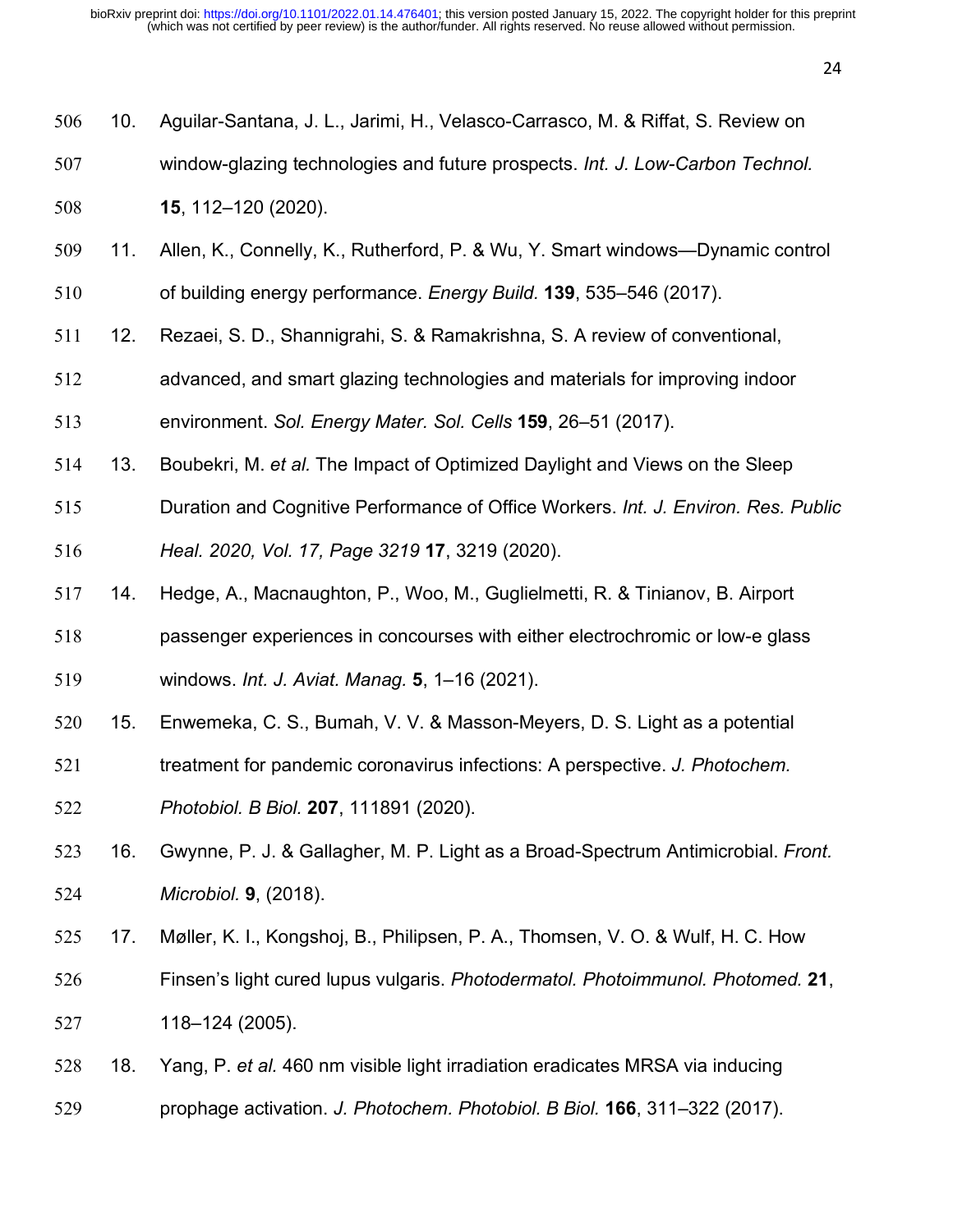| 506 | 10. | Aguilar-Santana, J. L., Jarimi, H., Velasco-Carrasco, M. & Riffat, S. Review on    |
|-----|-----|------------------------------------------------------------------------------------|
| 507 |     | window-glazing technologies and future prospects. Int. J. Low-Carbon Technol.      |
| 508 |     | 15, 112-120 (2020).                                                                |
| 509 | 11. | Allen, K., Connelly, K., Rutherford, P. & Wu, Y. Smart windows—Dynamic control     |
| 510 |     | of building energy performance. Energy Build. 139, 535–546 (2017).                 |
| 511 | 12. | Rezaei, S. D., Shannigrahi, S. & Ramakrishna, S. A review of conventional,         |
| 512 |     | advanced, and smart glazing technologies and materials for improving indoor        |
| 513 |     | environment. Sol. Energy Mater. Sol. Cells 159, 26-51 (2017).                      |
| 514 | 13. | Boubekri, M. et al. The Impact of Optimized Daylight and Views on the Sleep        |
| 515 |     | Duration and Cognitive Performance of Office Workers. Int. J. Environ. Res. Public |
| 516 |     | Heal. 2020, Vol. 17, Page 3219 17, 3219 (2020).                                    |
| 517 | 14. | Hedge, A., Macnaughton, P., Woo, M., Guglielmetti, R. & Tinianov, B. Airport       |
| 518 |     | passenger experiences in concourses with either electrochromic or low-e glass      |
| 519 |     | windows. Int. J. Aviat. Manag. 5, 1-16 (2021).                                     |
| 520 | 15. | Enwemeka, C. S., Bumah, V. V. & Masson-Meyers, D. S. Light as a potential          |
| 521 |     | treatment for pandemic coronavirus infections: A perspective. J. Photochem.        |
| 522 |     | Photobiol. B Biol. 207, 111891 (2020).                                             |
| 523 | 16. | Gwynne, P. J. & Gallagher, M. P. Light as a Broad-Spectrum Antimicrobial. Front.   |
| 524 |     | Microbiol. 9, (2018).                                                              |
| 525 | 17. | Møller, K. I., Kongshoj, B., Philipsen, P. A., Thomsen, V. O. & Wulf, H. C. How    |
| 526 |     | Finsen's light cured lupus vulgaris. Photodermatol. Photoimmunol. Photomed. 21,    |
| 527 |     | 118-124 (2005).                                                                    |
| 528 | 18. | Yang, P. et al. 460 nm visible light irradiation eradicates MRSA via inducing      |
| 529 |     | prophage activation. J. Photochem. Photobiol. B Biol. 166, 311-322 (2017).         |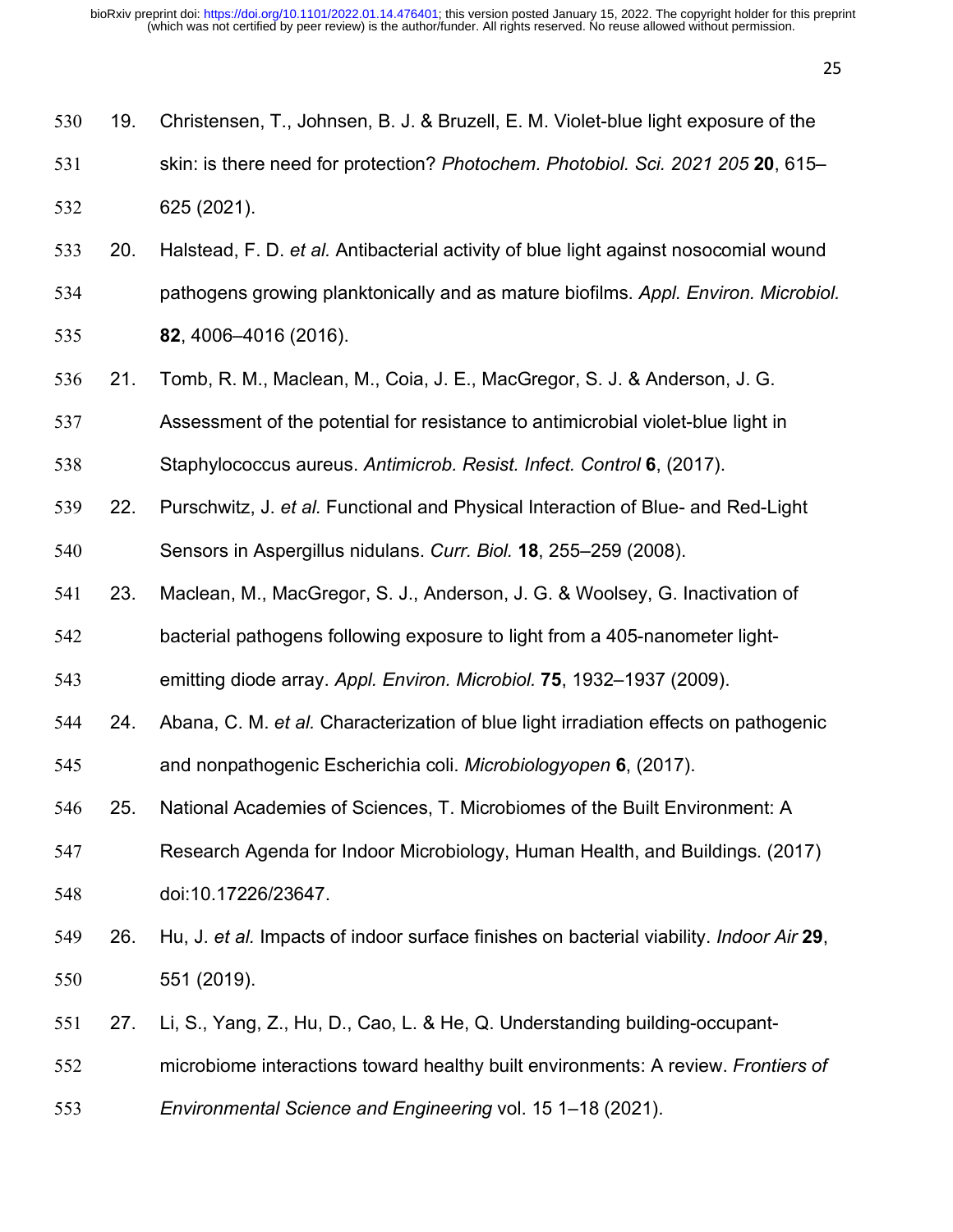| 530 | 19. | Christensen, T., Johnsen, B. J. & Bruzell, E. M. Violet-blue light exposure of the             |
|-----|-----|------------------------------------------------------------------------------------------------|
| 531 |     | skin: is there need for protection? Photochem. Photobiol. Sci. 2021 205 20, 615-               |
| 532 |     | 625 (2021).                                                                                    |
| 533 | 20. | Halstead, F. D. et al. Antibacterial activity of blue light against nosocomial wound           |
| 534 |     | pathogens growing planktonically and as mature biofilms. Appl. Environ. Microbiol.             |
| 535 |     | 82, 4006-4016 (2016).                                                                          |
| 536 | 21. | Tomb, R. M., Maclean, M., Coia, J. E., MacGregor, S. J. & Anderson, J. G.                      |
| 537 |     | Assessment of the potential for resistance to antimicrobial violet-blue light in               |
| 538 |     | Staphylococcus aureus. Antimicrob. Resist. Infect. Control 6, (2017).                          |
| 539 | 22. | Purschwitz, J. et al. Functional and Physical Interaction of Blue- and Red-Light               |
| 540 |     | Sensors in Aspergillus nidulans. Curr. Biol. 18, 255-259 (2008).                               |
| 541 | 23. | Maclean, M., MacGregor, S. J., Anderson, J. G. & Woolsey, G. Inactivation of                   |
| 542 |     | bacterial pathogens following exposure to light from a 405-nanometer light-                    |
| 543 |     | emitting diode array. Appl. Environ. Microbiol. 75, 1932-1937 (2009).                          |
| 544 | 24. | Abana, C. M. et al. Characterization of blue light irradiation effects on pathogenic           |
| 545 |     | and nonpathogenic Escherichia coli. Microbiologyopen 6, (2017).                                |
| 546 | 25. | National Academies of Sciences, T. Microbiomes of the Built Environment: A                     |
| 547 |     | Research Agenda for Indoor Microbiology, Human Health, and Buildings. (2017)                   |
| 548 |     | doi:10.17226/23647.                                                                            |
| 549 | 26. | Hu, J. et al. Impacts of indoor surface finishes on bacterial viability. <i>Indoor Air</i> 29, |
| 550 |     | 551 (2019).                                                                                    |
| 551 | 27. | Li, S., Yang, Z., Hu, D., Cao, L. & He, Q. Understanding building-occupant-                    |
| 552 |     | microbiome interactions toward healthy built environments: A review. Frontiers of              |
| 553 |     | Environmental Science and Engineering vol. 15 1-18 (2021).                                     |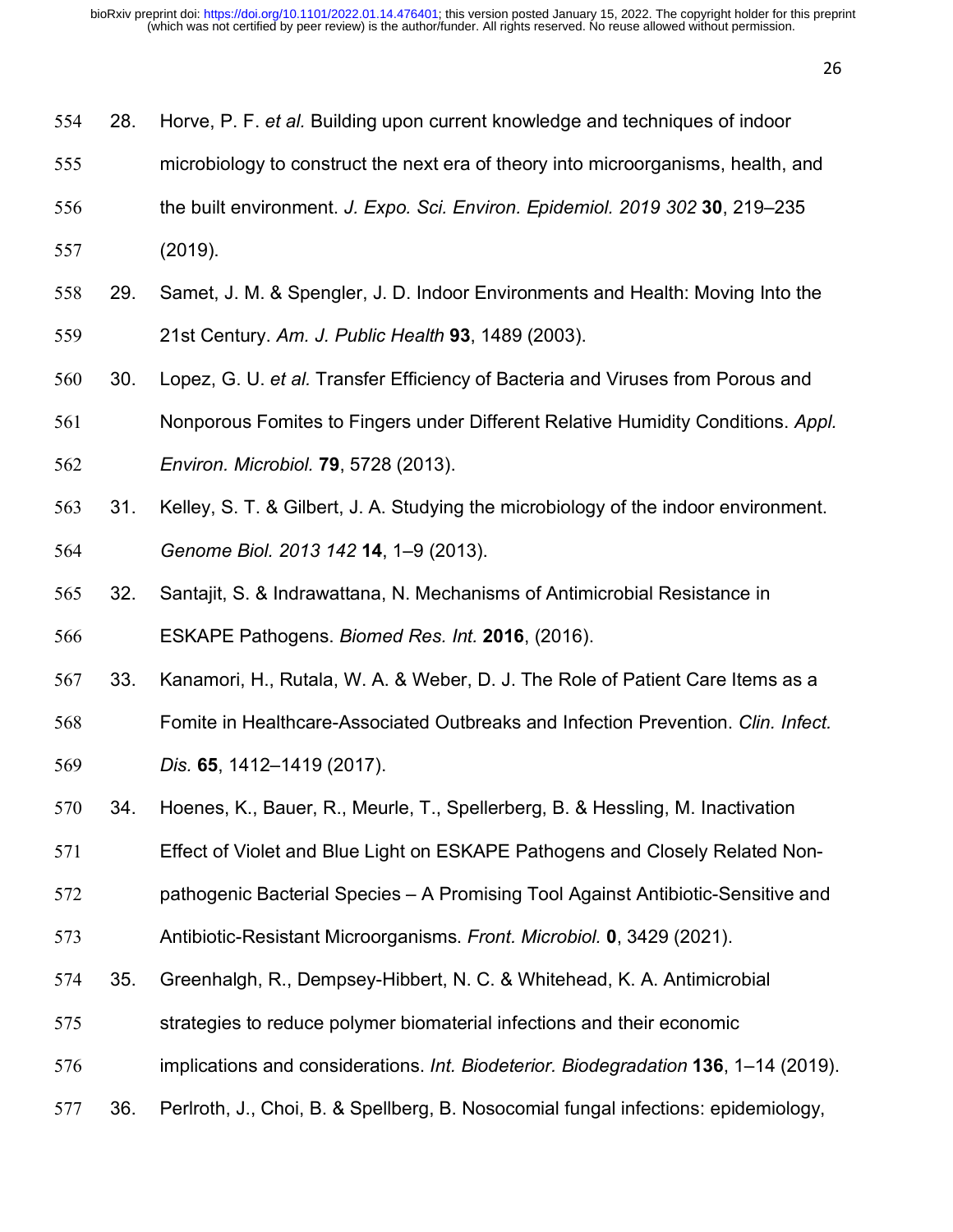- 28. Horve, P. F. *et al.* Building upon current knowledge and techniques of indoor
- microbiology to construct the next era of theory into microorganisms, health, and
- the built environment. *J. Expo. Sci. Environ. Epidemiol. 2019 302* **30**, 219–235
- (2019).
- 29. Samet, J. M. & Spengler, J. D. Indoor Environments and Health: Moving Into the 21st Century. *Am. J. Public Health* **93**, 1489 (2003).
- 30. Lopez, G. U. *et al.* Transfer Efficiency of Bacteria and Viruses from Porous and
- Nonporous Fomites to Fingers under Different Relative Humidity Conditions. *Appl.*
- *Environ. Microbiol.* **79**, 5728 (2013).
- 31. Kelley, S. T. & Gilbert, J. A. Studying the microbiology of the indoor environment. *Genome Biol. 2013 142* **14**, 1–9 (2013).
- 32. Santajit, S. & Indrawattana, N. Mechanisms of Antimicrobial Resistance in ESKAPE Pathogens. *Biomed Res. Int.* **2016**, (2016).
- 33. Kanamori, H., Rutala, W. A. & Weber, D. J. The Role of Patient Care Items as a
- Fomite in Healthcare-Associated Outbreaks and Infection Prevention. *Clin. Infect.*
- *Dis.* **65**, 1412–1419 (2017).
- 34. Hoenes, K., Bauer, R., Meurle, T., Spellerberg, B. & Hessling, M. Inactivation
- Effect of Violet and Blue Light on ESKAPE Pathogens and Closely Related Non-
- pathogenic Bacterial Species A Promising Tool Against Antibiotic-Sensitive and
- Antibiotic-Resistant Microorganisms. *Front. Microbiol.* **0**, 3429 (2021).
- 35. Greenhalgh, R., Dempsey-Hibbert, N. C. & Whitehead, K. A. Antimicrobial
- strategies to reduce polymer biomaterial infections and their economic
- implications and considerations. *Int. Biodeterior. Biodegradation* **136**, 1–14 (2019).
- 36. Perlroth, J., Choi, B. & Spellberg, B. Nosocomial fungal infections: epidemiology,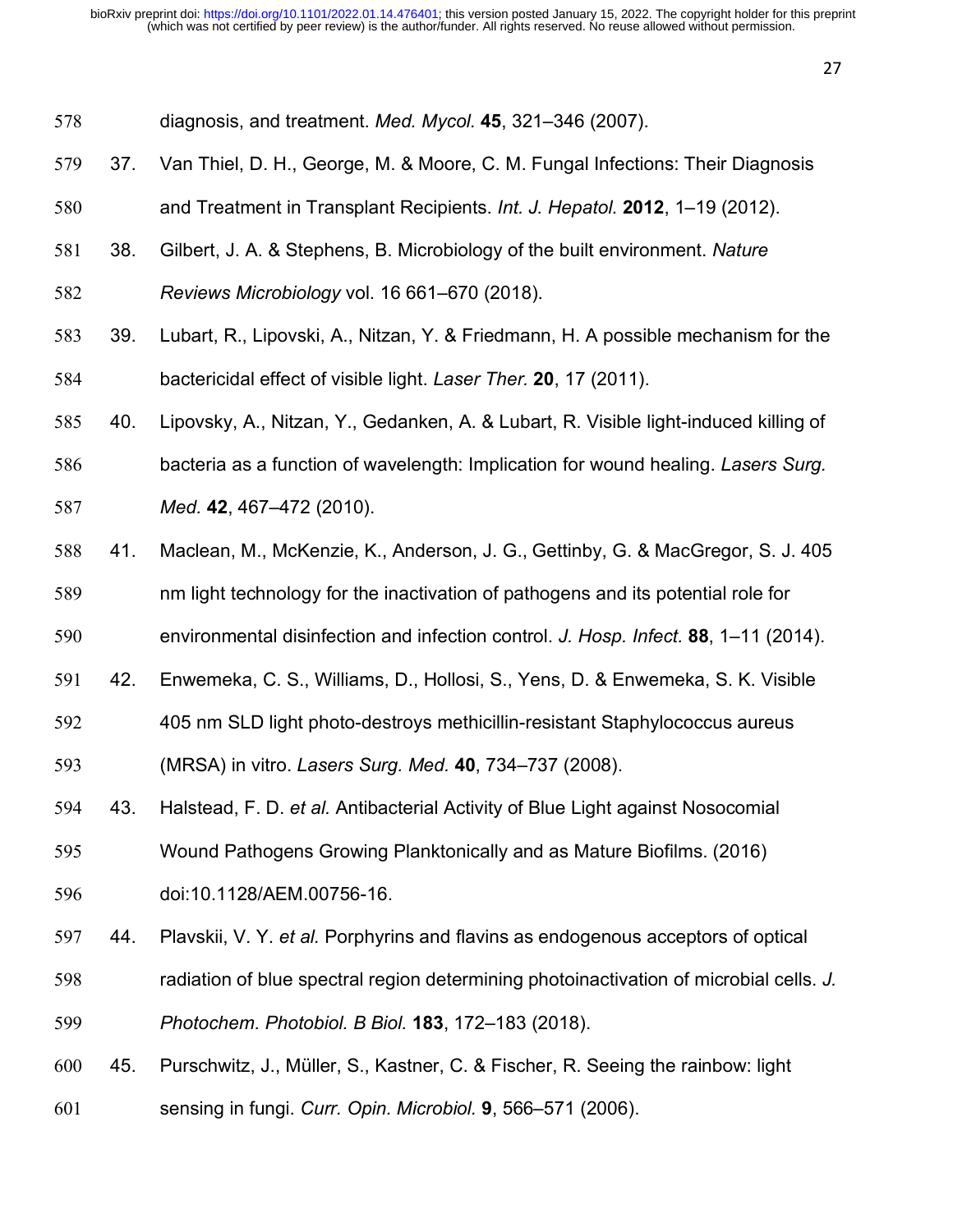- diagnosis, and treatment. *Med. Mycol.* **45**, 321–346 (2007).
- 37. Van Thiel, D. H., George, M. & Moore, C. M. Fungal Infections: Their Diagnosis
- and Treatment in Transplant Recipients. *Int. J. Hepatol.* **2012**, 1–19 (2012).
- 38. Gilbert, J. A. & Stephens, B. Microbiology of the built environment. *Nature*
- *Reviews Microbiology* vol. 16 661–670 (2018).
- 39. Lubart, R., Lipovski, A., Nitzan, Y. & Friedmann, H. A possible mechanism for the bactericidal effect of visible light. *Laser Ther.* **20**, 17 (2011).
- 40. Lipovsky, A., Nitzan, Y., Gedanken, A. & Lubart, R. Visible light-induced killing of
- bacteria as a function of wavelength: Implication for wound healing. *Lasers Surg.*
- *Med.* **42**, 467–472 (2010).
- 41. Maclean, M., McKenzie, K., Anderson, J. G., Gettinby, G. & MacGregor, S. J. 405
- nm light technology for the inactivation of pathogens and its potential role for
- environmental disinfection and infection control. *J. Hosp. Infect.* **88**, 1–11 (2014).
- 42. Enwemeka, C. S., Williams, D., Hollosi, S., Yens, D. & Enwemeka, S. K. Visible
- 405 nm SLD light photo-destroys methicillin-resistant Staphylococcus aureus
- (MRSA) in vitro. *Lasers Surg. Med.* **40**, 734–737 (2008).
- 43. Halstead, F. D. *et al.* Antibacterial Activity of Blue Light against Nosocomial
- Wound Pathogens Growing Planktonically and as Mature Biofilms. (2016)
- doi:10.1128/AEM.00756-16.
- 44. Plavskii, V. Y. *et al.* Porphyrins and flavins as endogenous acceptors of optical
- radiation of blue spectral region determining photoinactivation of microbial cells. *J.*
- *Photochem. Photobiol. B Biol.* **183**, 172–183 (2018).
- 45. Purschwitz, J., Müller, S., Kastner, C. & Fischer, R. Seeing the rainbow: light
- sensing in fungi. *Curr. Opin. Microbiol.* **9**, 566–571 (2006).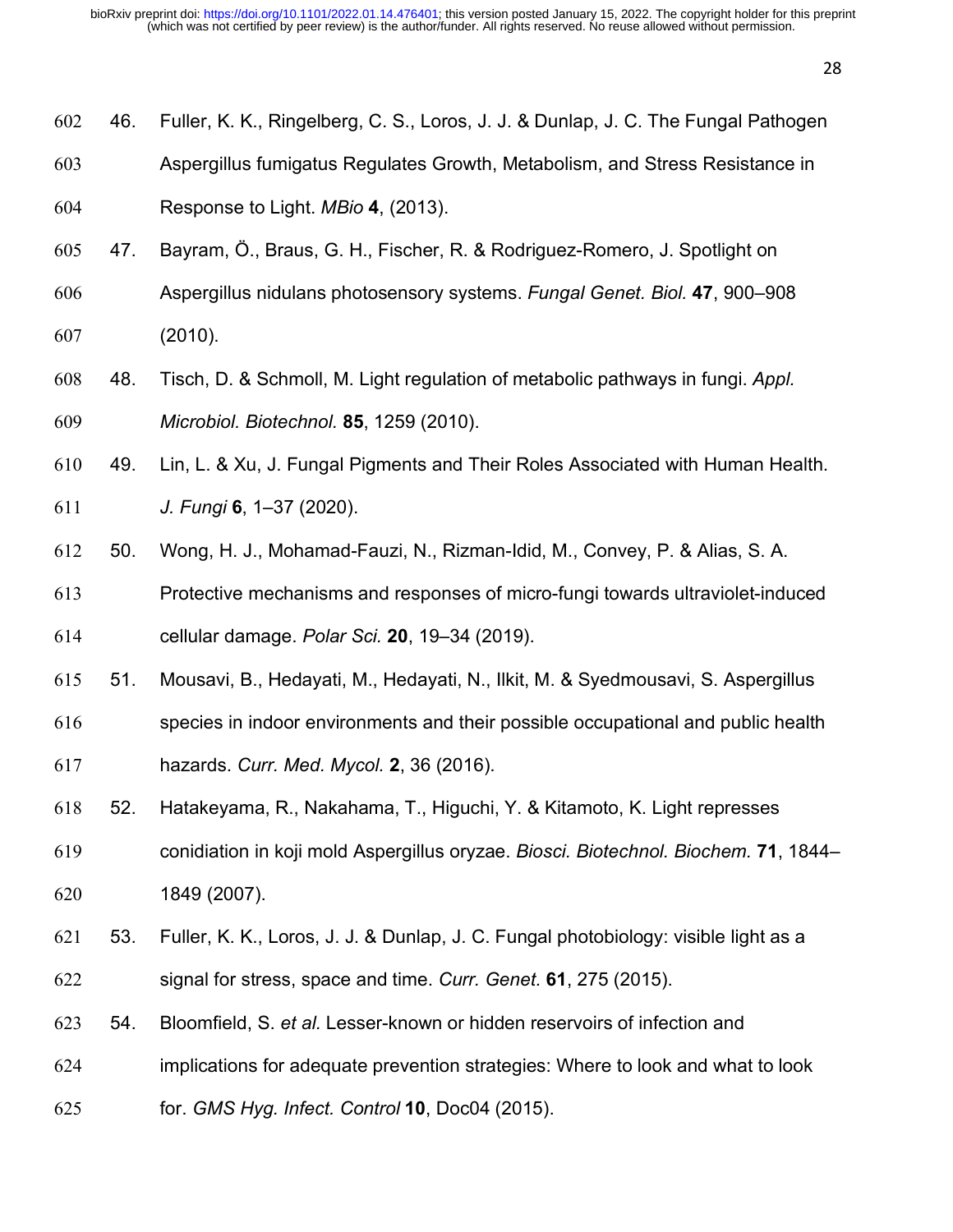| 602 | 46. | Fuller, K. K., Ringelberg, C. S., Loros, J. J. & Dunlap, J. C. The Fungal Pathogen |
|-----|-----|------------------------------------------------------------------------------------|
| 603 |     | Aspergillus fumigatus Regulates Growth, Metabolism, and Stress Resistance in       |
| 604 |     | Response to Light. MBio 4, (2013).                                                 |

- 47. Bayram, Ö., Braus, G. H., Fischer, R. & Rodriguez-Romero, J. Spotlight on
- Aspergillus nidulans photosensory systems. *Fungal Genet. Biol.* **47**, 900–908 (2010).
- 48. Tisch, D. & Schmoll, M. Light regulation of metabolic pathways in fungi. *Appl. Microbiol. Biotechnol.* **85**, 1259 (2010).
- 49. Lin, L. & Xu, J. Fungal Pigments and Their Roles Associated with Human Health.
- *J. Fungi* **6**, 1–37 (2020).
- 50. Wong, H. J., Mohamad-Fauzi, N., Rizman-Idid, M., Convey, P. & Alias, S. A.
- Protective mechanisms and responses of micro-fungi towards ultraviolet-induced cellular damage. *Polar Sci.* **20**, 19–34 (2019).
- 51. Mousavi, B., Hedayati, M., Hedayati, N., Ilkit, M. & Syedmousavi, S. Aspergillus
- species in indoor environments and their possible occupational and public health hazards. *Curr. Med. Mycol.* **2**, 36 (2016).
- 52. Hatakeyama, R., Nakahama, T., Higuchi, Y. & Kitamoto, K. Light represses
- conidiation in koji mold Aspergillus oryzae. *Biosci. Biotechnol. Biochem.* **71**, 1844– 1849 (2007).
- 53. Fuller, K. K., Loros, J. J. & Dunlap, J. C. Fungal photobiology: visible light as a signal for stress, space and time. *Curr. Genet.* **61**, 275 (2015).
- 54. Bloomfield, S. *et al.* Lesser-known or hidden reservoirs of infection and
- implications for adequate prevention strategies: Where to look and what to look
- for. *GMS Hyg. Infect. Control* **10**, Doc04 (2015).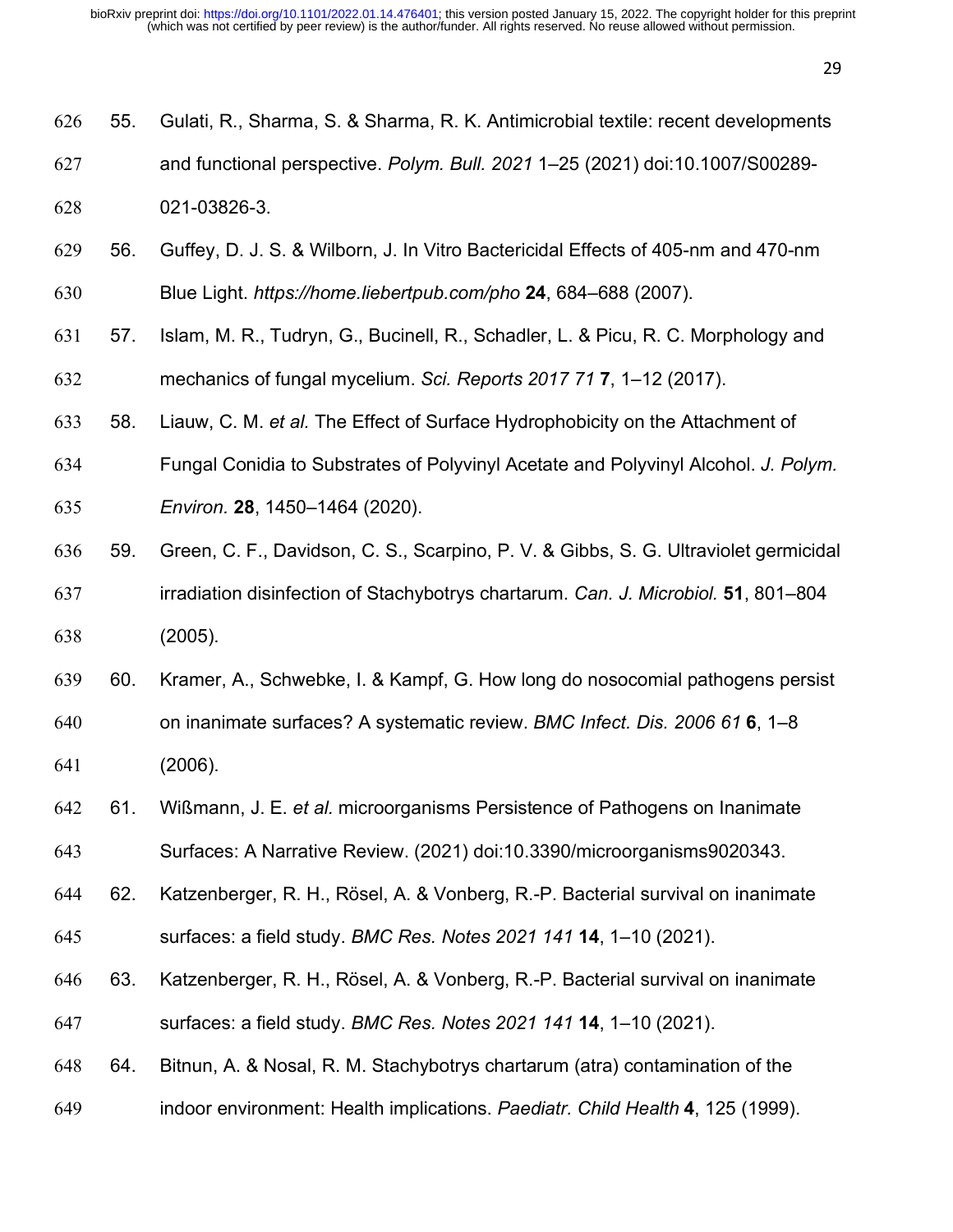55. Gulati, R., Sharma, S. & Sharma, R. K. Antimicrobial textile: recent developments

| 627 |     | and functional perspective. Polym. Bull. 2021 1-25 (2021) doi:10.1007/S00289-        |
|-----|-----|--------------------------------------------------------------------------------------|
| 628 |     | 021-03826-3.                                                                         |
| 629 | 56. | Guffey, D. J. S. & Wilborn, J. In Vitro Bactericidal Effects of 405-nm and 470-nm    |
| 630 |     | Blue Light. https://home.liebertpub.com/pho 24, 684-688 (2007).                      |
| 631 | 57. | Islam, M. R., Tudryn, G., Bucinell, R., Schadler, L. & Picu, R. C. Morphology and    |
| 632 |     | mechanics of fungal mycelium. Sci. Reports 2017 71 7, 1-12 (2017).                   |
| 633 | 58. | Liauw, C. M. et al. The Effect of Surface Hydrophobicity on the Attachment of        |
| 634 |     | Fungal Conidia to Substrates of Polyvinyl Acetate and Polyvinyl Alcohol. J. Polym.   |
| 635 |     | Environ. 28, 1450-1464 (2020).                                                       |
| 636 | 59. | Green, C. F., Davidson, C. S., Scarpino, P. V. & Gibbs, S. G. Ultraviolet germicidal |
| 637 |     | irradiation disinfection of Stachybotrys chartarum. Can. J. Microbiol. 51, 801-804   |
| 638 |     | (2005).                                                                              |
| 639 | 60. | Kramer, A., Schwebke, I. & Kampf, G. How long do nosocomial pathogens persist        |
| 640 |     | on inanimate surfaces? A systematic review. BMC Infect. Dis. 2006 61 6, 1-8          |
| 641 |     | (2006).                                                                              |
| 642 | 61. | Wißmann, J. E. et al. microorganisms Persistence of Pathogens on Inanimate           |
| 643 |     | Surfaces: A Narrative Review. (2021) doi:10.3390/microorganisms9020343.              |
| 644 | 62. | Katzenberger, R. H., Rösel, A. & Vonberg, R.-P. Bacterial survival on inanimate      |
| 645 |     | surfaces: a field study. BMC Res. Notes 2021 141 14, 1-10 (2021).                    |
| 646 | 63. | Katzenberger, R. H., Rösel, A. & Vonberg, R.-P. Bacterial survival on inanimate      |
| 647 |     | surfaces: a field study. BMC Res. Notes 2021 141 14, 1-10 (2021).                    |
| 648 | 64. | Bitnun, A. & Nosal, R. M. Stachybotrys chartarum (atra) contamination of the         |
| 649 |     | indoor environment: Health implications. Paediatr. Child Health 4, 125 (1999).       |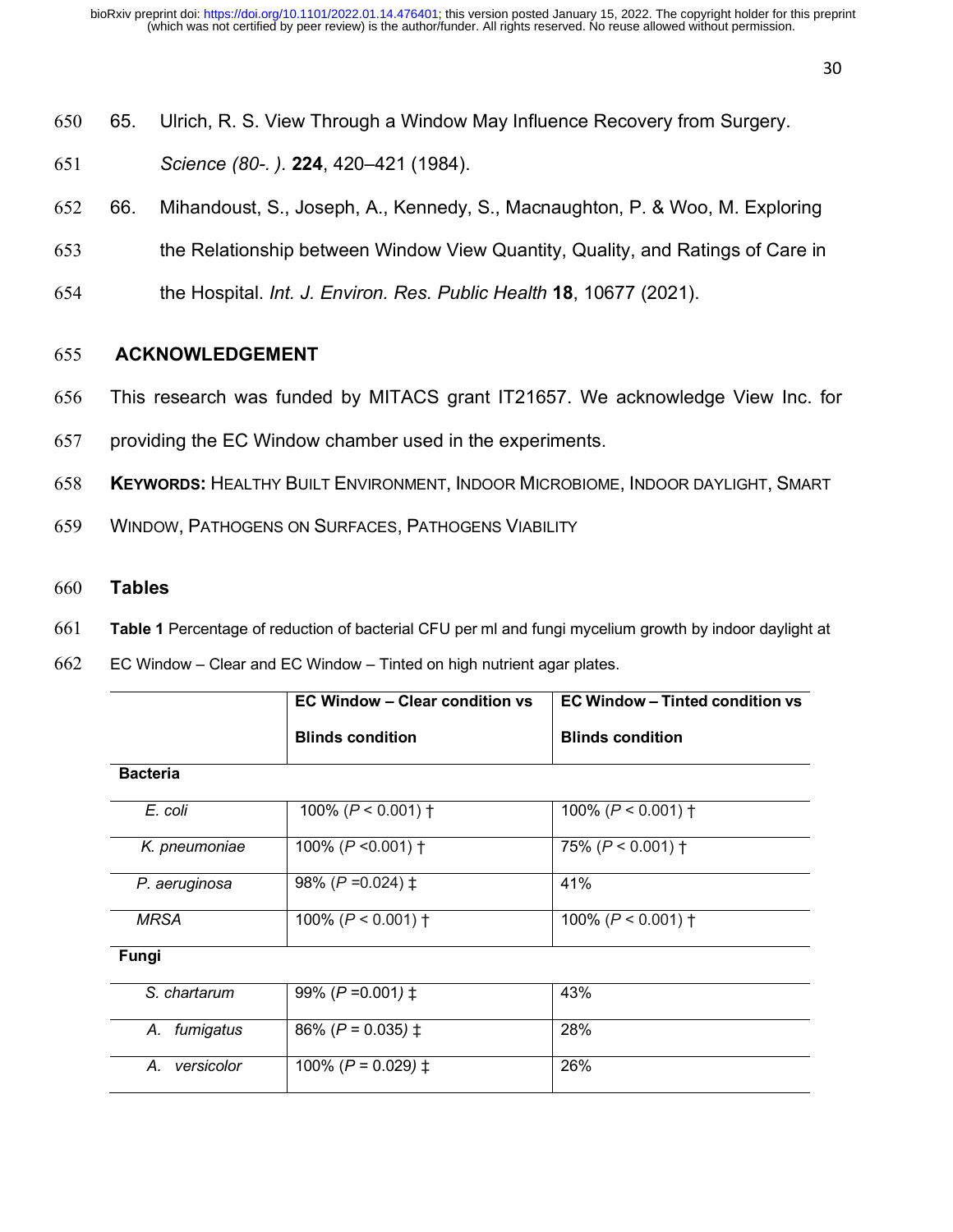- 650 65. Ulrich, R. S. View Through a Window May Influence Recovery from Surgery.
- 651 *Science (80-. ).* **224**, 420–421 (1984).
- 652 66. Mihandoust, S., Joseph, A., Kennedy, S., Macnaughton, P. & Woo, M. Exploring
- 653 the Relationship between Window View Quantity, Quality, and Ratings of Care in
- 654 the Hospital. *Int. J. Environ. Res. Public Health* **18**, 10677 (2021).

# 655 **ACKNOWLEDGEMENT**

- 656 This research was funded by MITACS grant IT21657. We acknowledge View Inc. for
- 657 providing the EC Window chamber used in the experiments.
- 658 **KEYWORDS:** HEALTHY BUILT ENVIRONMENT, INDOOR MICROBIOME, INDOOR DAYLIGHT, SMART
- 659 WINDOW, PATHOGENS ON SURFACES, PATHOGENS VIABILITY
- 660 **Tables**
- 661 **Table 1** Percentage of reduction of bacterial CFU per ml and fungi mycelium growth by indoor daylight at
- 662 EC Window Clear and EC Window Tinted on high nutrient agar plates.

|                  | <b>EC Window - Clear condition vs</b> | <b>EC Window - Tinted condition vs</b> |
|------------------|---------------------------------------|----------------------------------------|
|                  | <b>Blinds condition</b>               | <b>Blinds condition</b>                |
| <b>Bacteria</b>  |                                       |                                        |
| E. coli          | 100% ( $P < 0.001$ ) †                | 100% ( $P < 0.001$ ) †                 |
| K. pneumoniae    | 100% ( $P < 0.001$ ) †                | 75% ( $P < 0.001$ ) †                  |
| P. aeruginosa    | 98% ( $P = 0.024$ ) $\pm$             | 41%                                    |
| <b>MRSA</b>      | 100% ( $P < 0.001$ ) †                | 100% ( $P < 0.001$ ) †                 |
| Fungi            |                                       |                                        |
| S. chartarum     | 99% ( $P = 0.001$ ) $\pm$             | 43%                                    |
| A. fumigatus     | 86% ( $P = 0.035$ ) $\pm$             | 28%                                    |
| versicolor<br>А. | 100% ( $P = 0.029$ ) $\ddagger$       | 26%                                    |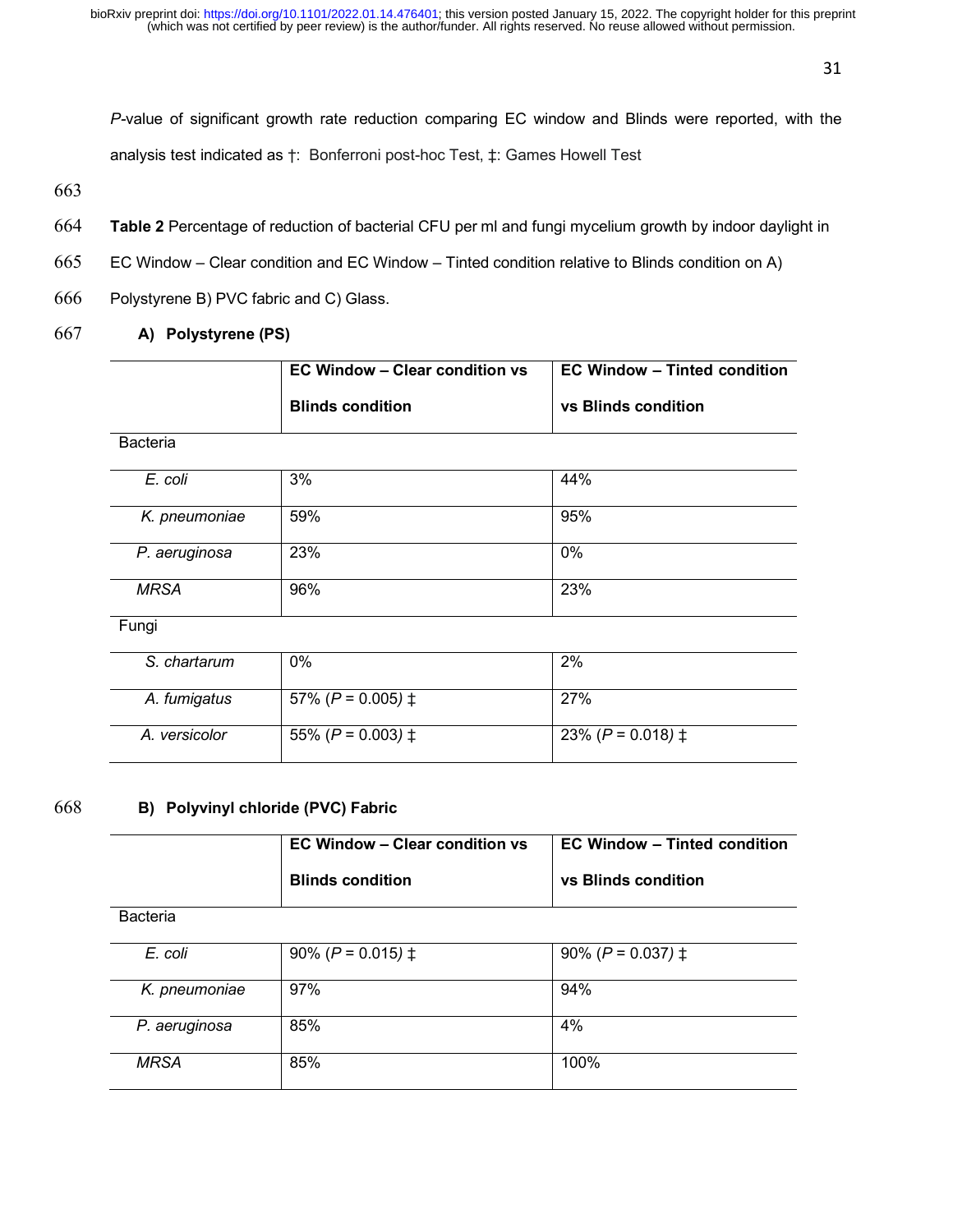*P-*value of significant growth rate reduction comparing EC window and Blinds were reported, with the analysis test indicated as †: Bonferroni post-hoc Test, ‡: Games Howell Test

663

- 664 **Table 2** Percentage of reduction of bacterial CFU per ml and fungi mycelium growth by indoor daylight in
- 665 EC Window Clear condition and EC Window Tinted condition relative to Blinds condition on A)
- 666 Polystyrene B) PVC fabric and C) Glass.

# 667 **A) Polystyrene (PS)**

|                | EC Window – Clear condition vs<br><b>Blinds condition</b> | EC Window – Tinted condition<br>vs Blinds condition |
|----------------|-----------------------------------------------------------|-----------------------------------------------------|
| Bacteria       |                                                           |                                                     |
| E. coli        | 3%                                                        | 44%                                                 |
| $k$ proumaning | <b>500/</b>                                               | 0.50/                                               |

| K. pneumoniae | 59% | 95% |
|---------------|-----|-----|
| P. aeruginosa | 23% | 0%  |
| <b>MRSA</b>   | 96% | 23% |

Fungi

| S. chartarum  | 0%                        | 2%                        |
|---------------|---------------------------|---------------------------|
| A. fumigatus  | 57% ( $P = 0.005$ ) $\pm$ | 27%                       |
| A. versicolor | 55% ( $P = 0.003$ ) $\pm$ | 23% ( $P = 0.018$ ) $\pm$ |

#### 668 **B) Polyvinyl chloride (PVC) Fabric**

|                 | <b>EC Window - Clear condition vs</b> | <b>EC Window – Tinted condition</b> |
|-----------------|---------------------------------------|-------------------------------------|
|                 | <b>Blinds condition</b>               | vs Blinds condition                 |
| <b>Bacteria</b> |                                       |                                     |
| E. coli         | 90% ( $P = 0.015$ ) $\pm$             | 90% ( $P = 0.037$ ) $\pm$           |
| K. pneumoniae   | 97%                                   | 94%                                 |
| P. aeruginosa   | 85%                                   | 4%                                  |

*MRSA* 85% 100%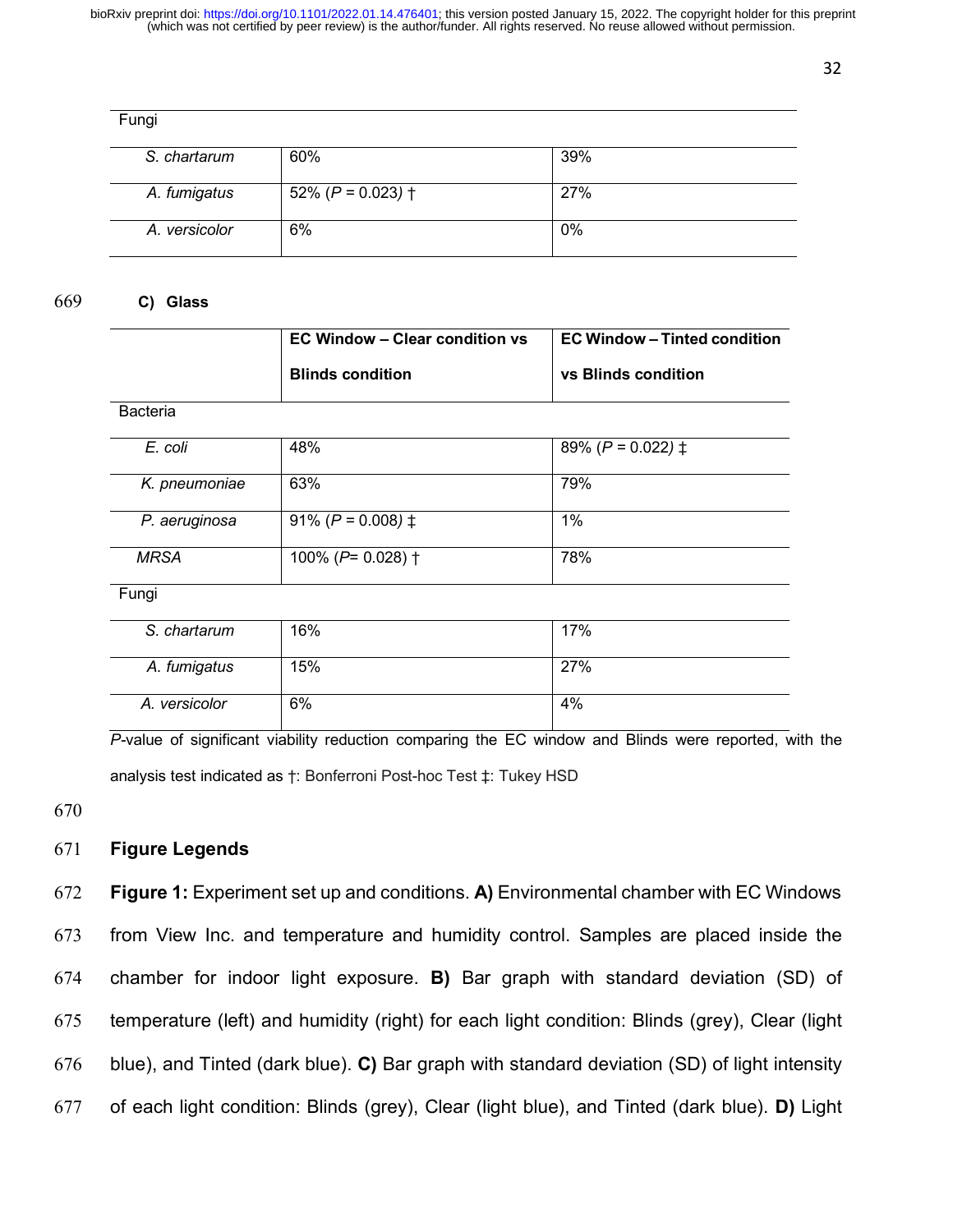| Fungi         |                       |       |
|---------------|-----------------------|-------|
| S. chartarum  | 60%                   | 39%   |
| A. fumigatus  | 52% ( $P = 0.023$ ) † | 27%   |
| A. versicolor | 6%                    | $0\%$ |

#### 669 **C) Glass**

|                 | <b>EC Window - Clear condition vs</b>   | <b>EC Window - Tinted condition</b> |
|-----------------|-----------------------------------------|-------------------------------------|
|                 | <b>Blinds condition</b>                 | vs Blinds condition                 |
| <b>Bacteria</b> |                                         |                                     |
| E. coli         | 48%                                     | 89% ( $P = 0.022$ ) $\pm$           |
| K. pneumoniae   | 63%                                     | 79%                                 |
| P. aeruginosa   | 91% ( $P = 0.008$ ) $\pm$               | $1\%$                               |
| <b>MRSA</b>     | $\overline{100\%}$ (P= 0.028) $\dagger$ | 78%                                 |
| Fungi           |                                         |                                     |
| S. chartarum    | 16%                                     | 17%                                 |
| A. fumigatus    | 15%                                     | 27%                                 |
| A. versicolor   | 6%                                      | 4%                                  |

*P-*value of significant viability reduction comparing the EC window and Blinds were reported, with the analysis test indicated as †: Bonferroni Post-hoc Test ‡: Tukey HSD

670

#### 671 **Figure Legends**

 **Figure 1:** Experiment set up and conditions. **A)** Environmental chamber with EC Windows from View Inc. and temperature and humidity control. Samples are placed inside the chamber for indoor light exposure. **B)** Bar graph with standard deviation (SD) of temperature (left) and humidity (right) for each light condition: Blinds (grey), Clear (light blue), and Tinted (dark blue). **C)** Bar graph with standard deviation (SD) of light intensity of each light condition: Blinds (grey), Clear (light blue), and Tinted (dark blue). **D)** Light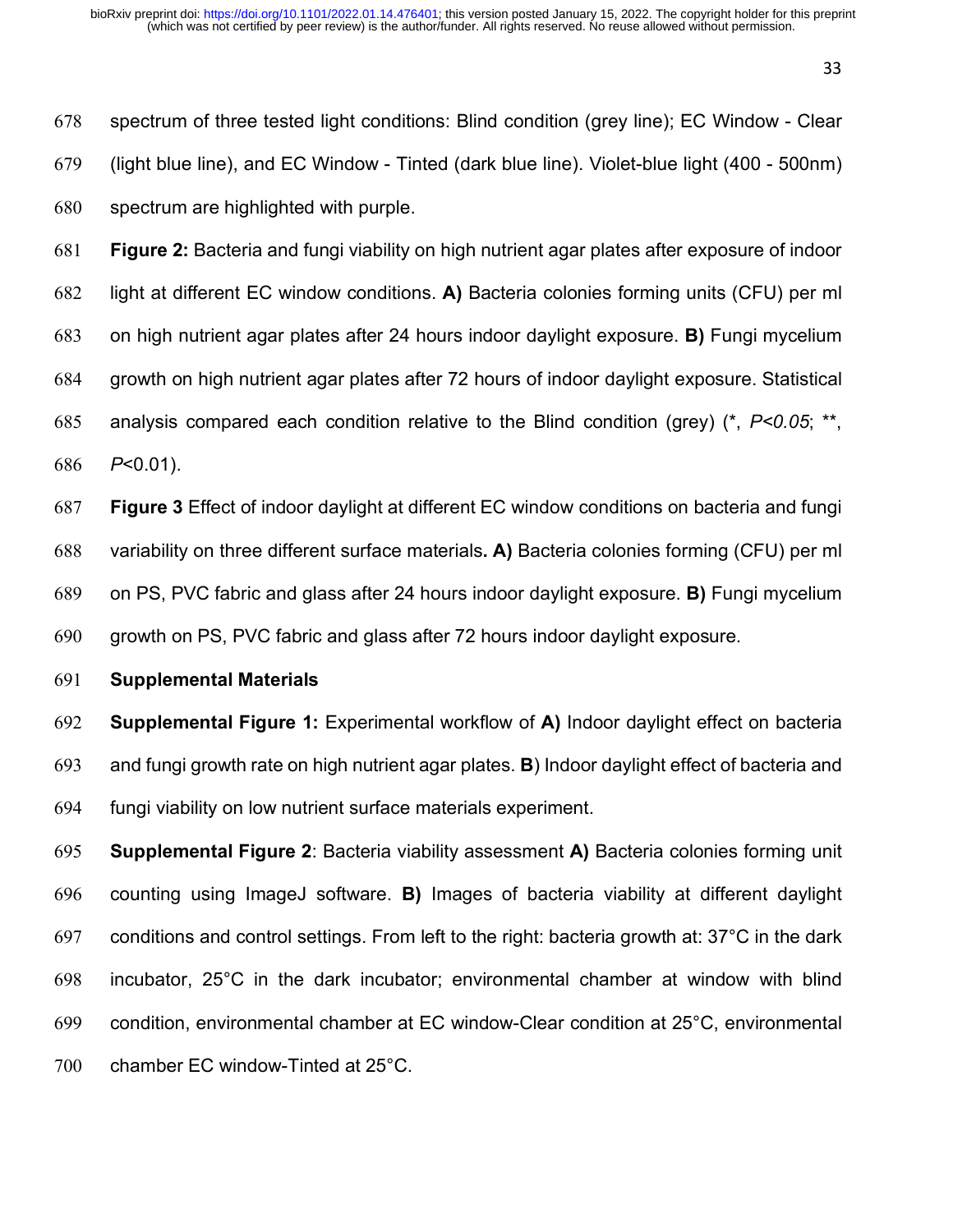spectrum of three tested light conditions: Blind condition (grey line); EC Window - Clear (light blue line), and EC Window - Tinted (dark blue line). Violet-blue light (400 - 500nm) spectrum are highlighted with purple.

 **Figure 2:** Bacteria and fungi viability on high nutrient agar plates after exposure of indoor light at different EC window conditions. **A)** Bacteria colonies forming units (CFU) per ml on high nutrient agar plates after 24 hours indoor daylight exposure. **B)** Fungi mycelium growth on high nutrient agar plates after 72 hours of indoor daylight exposure. Statistical analysis compared each condition relative to the Blind condition (grey) (\*, *P<0.05*; \*\*, *P*<0.01).

 **Figure 3** Effect of indoor daylight at different EC window conditions on bacteria and fungi variability on three different surface materials**. A)** Bacteria colonies forming (CFU) per ml on PS, PVC fabric and glass after 24 hours indoor daylight exposure. **B)** Fungi mycelium growth on PS, PVC fabric and glass after 72 hours indoor daylight exposure*.* 

**Supplemental Materials**

 **Supplemental Figure 1:** Experimental workflow of **A)** Indoor daylight effect on bacteria and fungi growth rate on high nutrient agar plates. **B**) Indoor daylight effect of bacteria and fungi viability on low nutrient surface materials experiment.

 **Supplemental Figure 2**: Bacteria viability assessment **A)** Bacteria colonies forming unit counting using ImageJ software. **B)** Images of bacteria viability at different daylight conditions and control settings. From left to the right: bacteria growth at: 37°C in the dark incubator, 25°C in the dark incubator; environmental chamber at window with blind condition, environmental chamber at EC window-Clear condition at 25°C, environmental chamber EC window-Tinted at 25°C.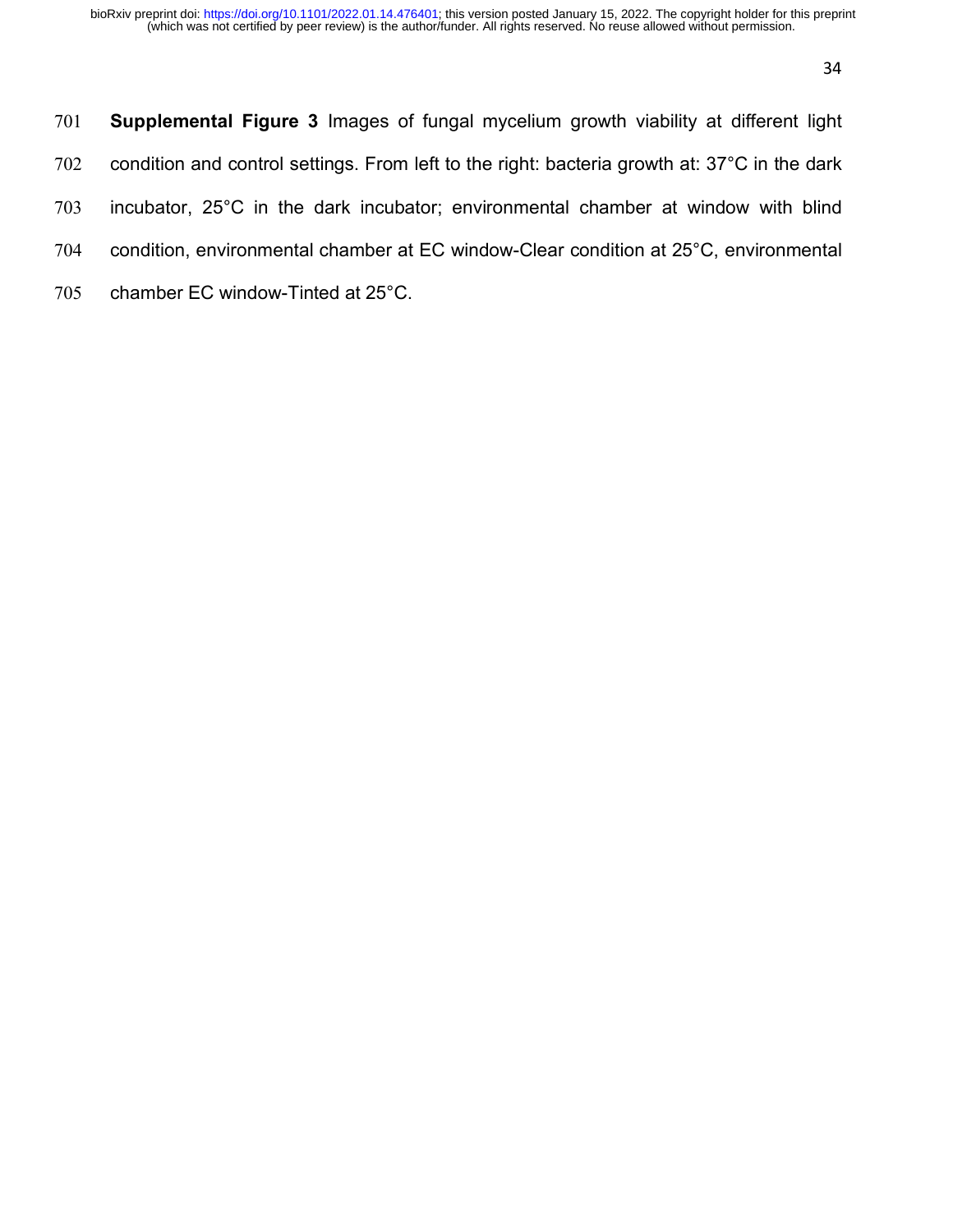| 701 | <b>Supplemental Figure 3</b> Images of fungal mycelium growth viability at different light   |
|-----|----------------------------------------------------------------------------------------------|
| 702 | condition and control settings. From left to the right: bacteria growth at: 37°C in the dark |
| 703 | incubator, 25°C in the dark incubator; environmental chamber at window with blind            |
| 704 | condition, environmental chamber at EC window-Clear condition at 25°C, environmental         |
| 705 | chamber EC window-Tinted at 25°C.                                                            |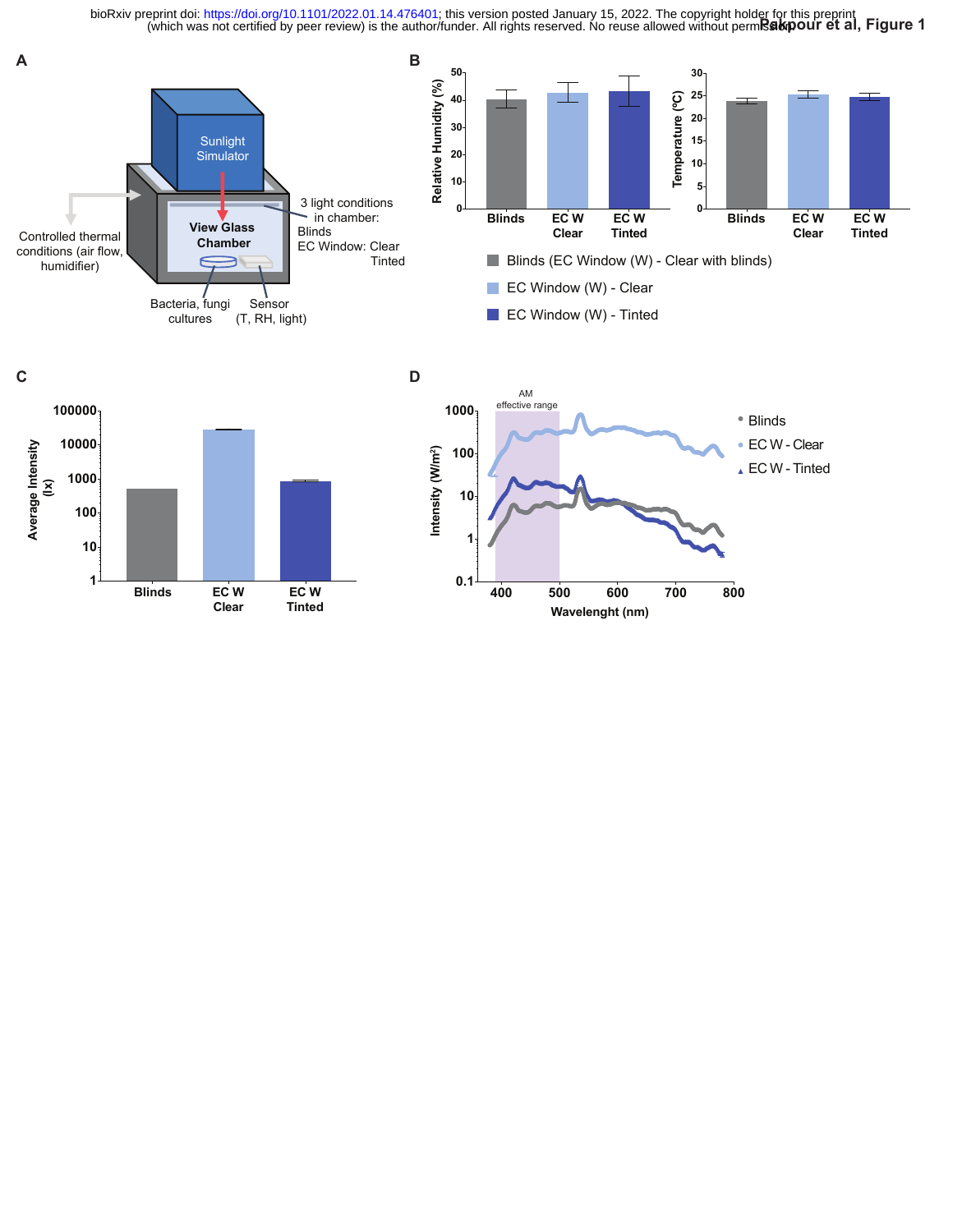**Princh was not certified by peer review) is the author/funder. All rights reserved. No reuse allowed without permission of the al, Figure 1** bioRxiv preprint doi: [https://doi.org/10.1101/2022.01.14.476401;](https://doi.org/10.1101/2022.01.14.476401) this version posted January 15, 2022. The copyright holder for this preprint





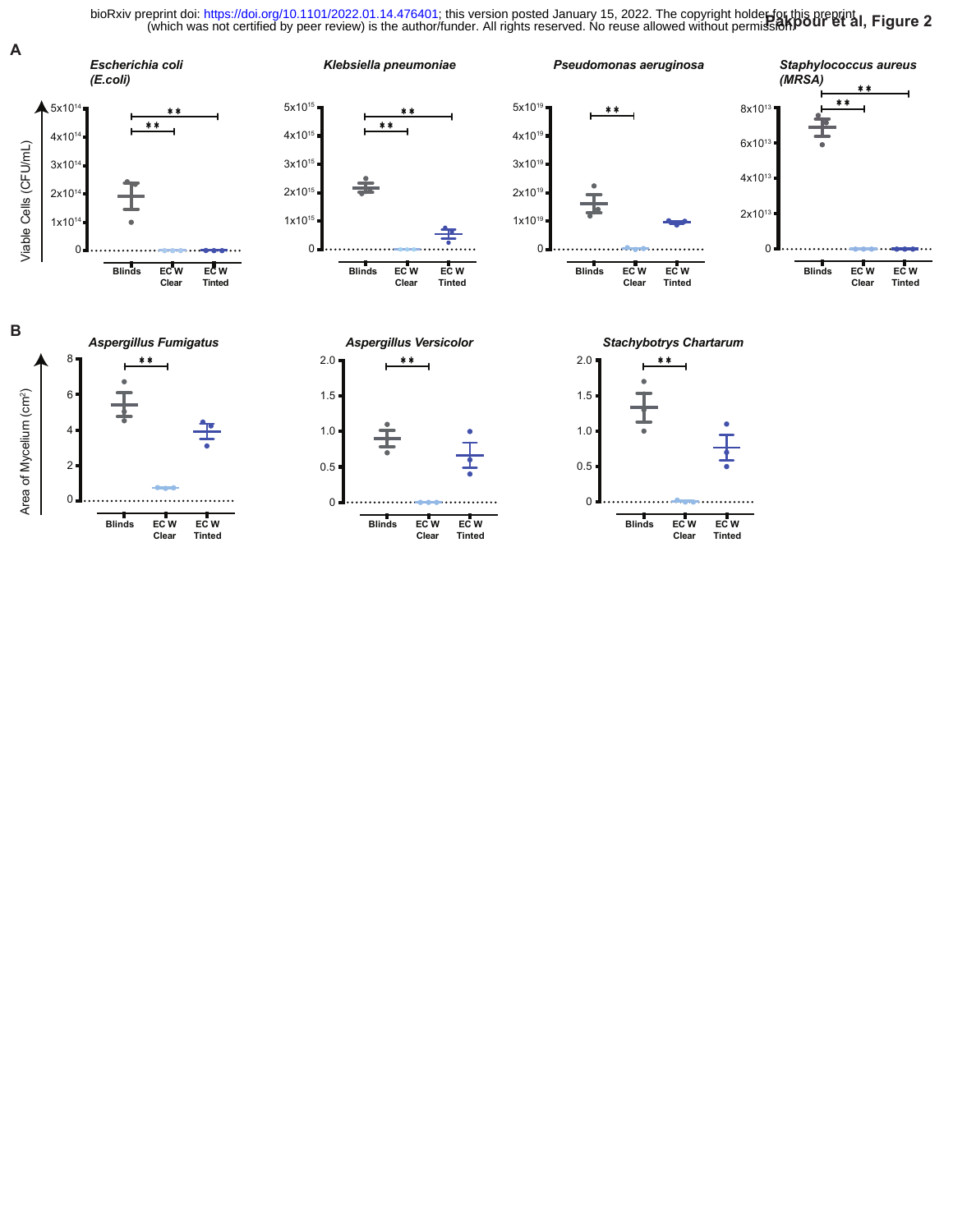bioRxiv preprint doi: [https://doi.org/10.1101/2022.01.14.476401;](https://doi.org/10.1101/2022.01.14.476401) this version posted January 15, 2022. The copyright holder for this preprint (which was not certified by peer review) is the author/funder. All rights reserv